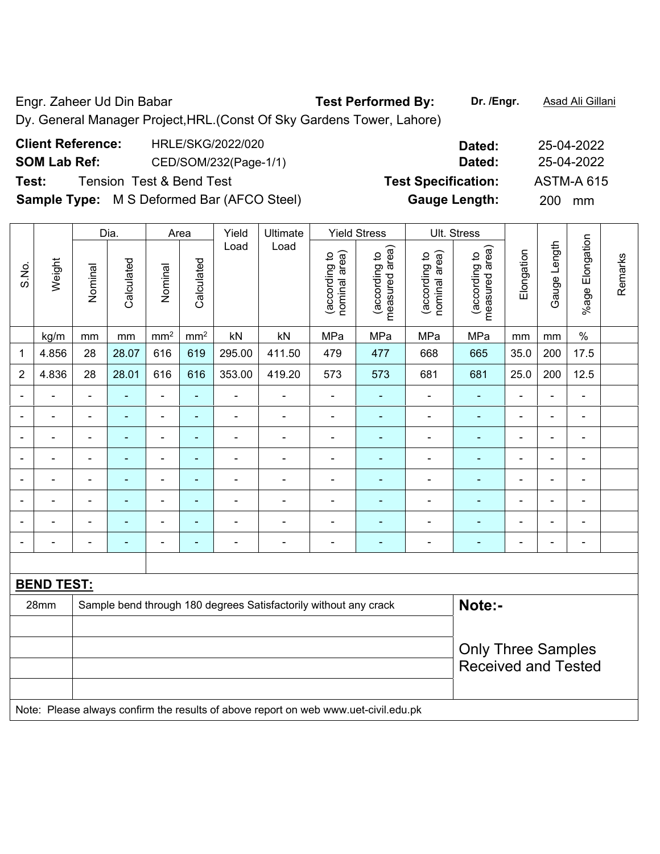Engr. Zaheer Ud Din Babar **Test Performed By: Dr. /Engr.** Asad Ali Gillani Dy. General Manager Project,HRL.(Const Of Sky Gardens Tower, Lahore)

**Client Reference:** HRLE/SKG/2022/020 **Dated:** 25-04-2022 **SOM Lab Ref:** CED/SOM/232(Page-1/1) **Dated:** 25-04-2022 **Test:** Tension Test & Bend Test **Test Specification:** ASTM-A 615 **Sample Type:** M S Deformed Bar (AFCO Steel) **Gauge Length:** 200 mm

|                |                   |                           | Dia.           | Area                         |                 | Yield          | Ultimate                                                                            |                                | <b>Yield Stress</b>             |                                | Ult. Stress                     |                          |              |                 |         |
|----------------|-------------------|---------------------------|----------------|------------------------------|-----------------|----------------|-------------------------------------------------------------------------------------|--------------------------------|---------------------------------|--------------------------------|---------------------------------|--------------------------|--------------|-----------------|---------|
| S.No.          | Weight            | Nominal                   | Calculated     | Nominal                      | Calculated      | Load           | Load                                                                                | nominal area)<br>(according to | measured area)<br>(according to | (according to<br>nominal area) | measured area)<br>(according to | Elongation               | Gauge Length | %age Elongation | Remarks |
|                | kg/m              | mm                        | mm             | mm <sup>2</sup>              | mm <sup>2</sup> | kN             | kN                                                                                  | MPa                            | MPa                             | MPa                            | MPa                             | mm                       | mm           | $\%$            |         |
| 1              | 4.856             | 28                        | 28.07          | 616                          | 619             | 295.00         | 411.50                                                                              | 479                            | 477                             | 668                            | 665                             | 35.0                     | 200          | 17.5            |         |
| $\overline{2}$ | 4.836             | 28                        | 28.01          | 616                          | 616             | 353.00         | 419.20                                                                              | 573                            | 573                             | 681                            | 681                             | 25.0                     | 200          | 12.5            |         |
|                |                   | ä,                        |                | ä,                           | ä,              | ä,             | Ĭ.                                                                                  | ä,                             |                                 |                                | ä,                              |                          | L            | ä,              |         |
|                |                   |                           | ۳              | $\blacksquare$               | $\blacksquare$  | $\blacksquare$ |                                                                                     | $\blacksquare$                 | $\blacksquare$                  | $\blacksquare$                 | $\blacksquare$                  | $\blacksquare$           | L.           | $\blacksquare$  |         |
|                |                   | $\blacksquare$            | -              | $\blacksquare$               | ۰               | ÷              |                                                                                     | L,                             | ٠                               |                                | ۰                               | $\blacksquare$           | L,           | Ē,              |         |
|                |                   | $\blacksquare$            | ä,             | $\blacksquare$               | ۰               | ä,             |                                                                                     | ä,                             | $\blacksquare$                  | $\blacksquare$                 | ÷                               | $\blacksquare$           | L,           | $\blacksquare$  |         |
| ÷              |                   | $\blacksquare$            | $\blacksquare$ | $\qquad \qquad \blacksquare$ | ٠               | ä,             | $\blacksquare$                                                                      | $\blacksquare$                 | $\blacksquare$                  | $\blacksquare$                 | ٠                               | $\overline{\phantom{a}}$ | L,           | $\blacksquare$  |         |
|                |                   | $\blacksquare$            | $\blacksquare$ | $\blacksquare$               | ۰               | $\blacksquare$ | ٠                                                                                   | Ē,                             | $\blacksquare$                  | $\blacksquare$                 | $\blacksquare$                  | $\blacksquare$           | L,           | ä,              |         |
|                |                   | $\blacksquare$            | ä,             | $\qquad \qquad \blacksquare$ | ٠               | ÷              | $\blacksquare$                                                                      | $\blacksquare$                 | $\blacksquare$                  | $\blacksquare$                 | $\blacksquare$                  | $\blacksquare$           | L,           | ä,              |         |
|                |                   | $\blacksquare$            | -              | $\blacksquare$               | ۰               | ÷              | $\blacksquare$                                                                      | L,                             | $\blacksquare$                  | $\blacksquare$                 | $\blacksquare$                  | $\blacksquare$           | L,           | ä,              |         |
|                |                   |                           |                |                              |                 |                |                                                                                     |                                |                                 |                                |                                 |                          |              |                 |         |
|                | <b>BEND TEST:</b> |                           |                |                              |                 |                |                                                                                     |                                |                                 |                                |                                 |                          |              |                 |         |
|                | 28mm              |                           |                |                              |                 |                | Sample bend through 180 degrees Satisfactorily without any crack                    |                                |                                 |                                | Note:-                          |                          |              |                 |         |
|                |                   |                           |                |                              |                 |                |                                                                                     |                                |                                 |                                |                                 |                          |              |                 |         |
|                |                   | <b>Only Three Samples</b> |                |                              |                 |                |                                                                                     |                                |                                 |                                |                                 |                          |              |                 |         |
|                |                   |                           |                |                              |                 |                |                                                                                     |                                |                                 |                                | <b>Received and Tested</b>      |                          |              |                 |         |
|                |                   |                           |                |                              |                 |                |                                                                                     |                                |                                 |                                |                                 |                          |              |                 |         |
|                |                   |                           |                |                              |                 |                | Note: Please always confirm the results of above report on web www.uet-civil.edu.pk |                                |                                 |                                |                                 |                          |              |                 |         |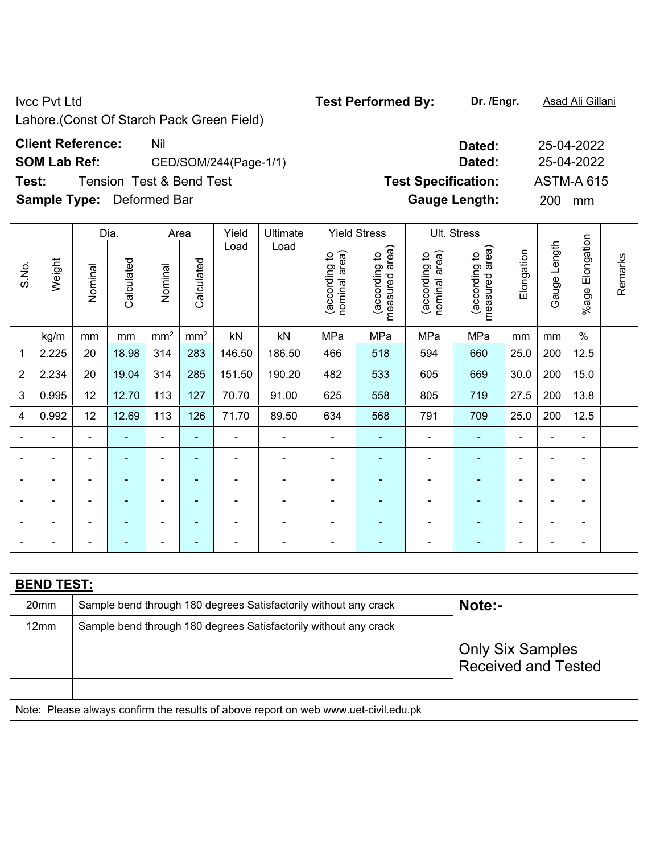Lahore.(Const Of Starch Pack Green Field)

## **Client Reference:** Nil Nil 25-04-2022

**SOM Lab Ref:** CED/SOM/244(Page-1/1) **Dated:** 25-04-2022

**Test:** Tension Test & Bend Test **Test Specification:** ASTM-A 615

**Sample Type:** Deformed Bar **Gauge Length:** 200 mm

|                |                   |                                                                  | Dia.           |                 | Area                     | Yield          | Ultimate                                                                            |                                | <b>Yield Stress</b>             |                                | Ult. Stress                        |                          |                |                          |         |
|----------------|-------------------|------------------------------------------------------------------|----------------|-----------------|--------------------------|----------------|-------------------------------------------------------------------------------------|--------------------------------|---------------------------------|--------------------------------|------------------------------------|--------------------------|----------------|--------------------------|---------|
| S.No.          | Weight            | Nominal                                                          | Calculated     | Nominal         | Calculated               | Load           | Load                                                                                | nominal area)<br>(according to | measured area)<br>(according to | nominal area)<br>(according to | area)<br>(according to<br>measured | Elongation               | Gauge Length   | Elongation<br>%age I     | Remarks |
|                | kg/m              | mm                                                               | mm             | mm <sup>2</sup> | mm <sup>2</sup>          | kN             | kN                                                                                  | MPa                            | MPa                             | MPa                            | MPa                                | mm                       | mm             | $\%$                     |         |
| 1              | 2.225             | 20                                                               | 18.98          | 314             | 283                      | 146.50         | 186.50                                                                              | 466                            | 518                             | 594                            | 660                                | 25.0                     | 200            | 12.5                     |         |
| 2              | 2.234             | 20                                                               | 19.04          | 314             | 285                      | 151.50         | 190.20                                                                              | 482                            | 533                             | 605                            | 669                                | 30.0                     | 200            | 15.0                     |         |
| 3              | 0.995             | 12                                                               | 12.70          | 113             | 127                      | 70.70          | 91.00                                                                               | 625                            | 558                             | 805                            | 719                                | 27.5                     | 200            | 13.8                     |         |
| 4              | 0.992             | 12                                                               | 12.69          | 113             | 126                      | 71.70          | 89.50                                                                               | 634                            | 568                             | 791                            | 709                                | 25.0                     | 200            | 12.5                     |         |
| $\blacksquare$ |                   | $\blacksquare$                                                   | ÷,             | $\blacksquare$  | $\blacksquare$           | $\blacksquare$ | $\blacksquare$                                                                      | $\blacksquare$                 | ۰                               | ÷,                             | $\blacksquare$                     | $\blacksquare$           | ÷,             | $\blacksquare$           |         |
|                | $\blacksquare$    | $\overline{a}$                                                   | $\blacksquare$ | $\blacksquare$  | $\blacksquare$           | $\blacksquare$ | $\blacksquare$                                                                      | $\blacksquare$                 | ٠                               | ۰                              | $\blacksquare$                     | $\blacksquare$           | $\blacksquare$ | $\blacksquare$           |         |
|                | L.                | $\blacksquare$                                                   | $\blacksquare$ | $\blacksquare$  | $\blacksquare$           | $\blacksquare$ | ÷,                                                                                  | $\blacksquare$                 | ÷                               | ÷                              | $\blacksquare$                     | ÷                        | $\blacksquare$ | $\overline{\phantom{a}}$ |         |
|                | L.                | $\blacksquare$                                                   | $\blacksquare$ | $\blacksquare$  | $\blacksquare$           | $\blacksquare$ | $\blacksquare$                                                                      | $\blacksquare$                 | ۰                               | ÷                              | $\blacksquare$                     | $\overline{\phantom{a}}$ | $\blacksquare$ | $\overline{\phantom{a}}$ |         |
|                |                   | $\blacksquare$                                                   |                | $\blacksquare$  | ÷                        | $\blacksquare$ | $\blacksquare$                                                                      | $\blacksquare$                 | ۰                               | $\blacksquare$                 | $\blacksquare$                     | Ē,                       | L,             | ä,                       |         |
|                |                   | $\blacksquare$                                                   |                | ۰               | $\overline{\phantom{a}}$ |                | $\blacksquare$                                                                      |                                | ۰                               |                                | $\blacksquare$                     | $\blacksquare$           |                | $\overline{\phantom{a}}$ |         |
|                |                   |                                                                  |                |                 |                          |                |                                                                                     |                                |                                 |                                |                                    |                          |                |                          |         |
|                | <b>BEND TEST:</b> |                                                                  |                |                 |                          |                |                                                                                     |                                |                                 |                                |                                    |                          |                |                          |         |
|                | 20mm              |                                                                  |                |                 |                          |                | Sample bend through 180 degrees Satisfactorily without any crack                    |                                |                                 |                                | Note:-                             |                          |                |                          |         |
|                | 12mm              | Sample bend through 180 degrees Satisfactorily without any crack |                |                 |                          |                |                                                                                     |                                |                                 |                                |                                    |                          |                |                          |         |
|                |                   |                                                                  |                |                 |                          |                |                                                                                     |                                |                                 |                                | <b>Only Six Samples</b>            |                          |                |                          |         |
|                |                   |                                                                  |                |                 |                          |                |                                                                                     |                                |                                 |                                | <b>Received and Tested</b>         |                          |                |                          |         |
|                |                   |                                                                  |                |                 |                          |                |                                                                                     |                                |                                 |                                |                                    |                          |                |                          |         |
|                |                   |                                                                  |                |                 |                          |                | Note: Please always confirm the results of above report on web www.uet-civil.edu.pk |                                |                                 |                                |                                    |                          |                |                          |         |

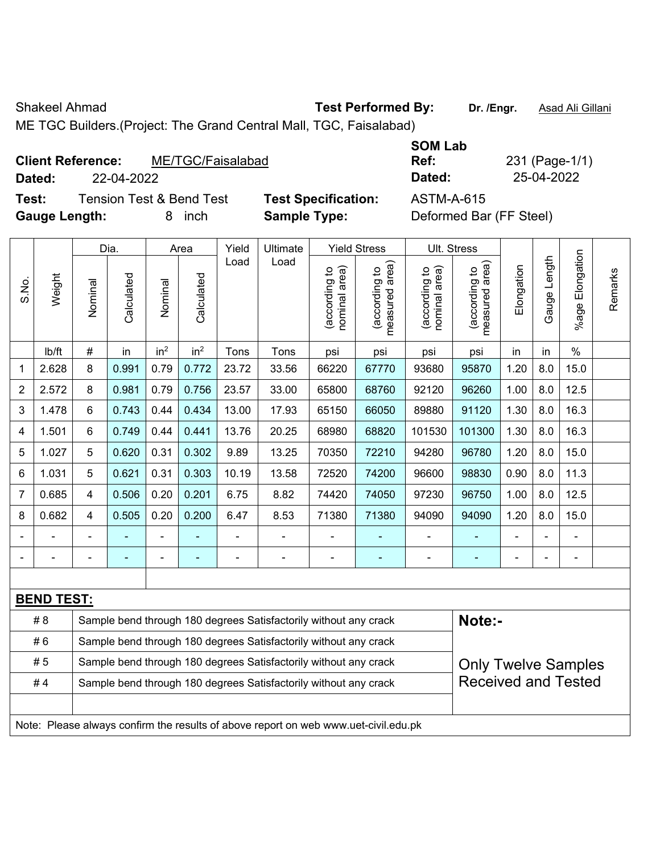Shakeel Ahmad **Test Performed By:** Dr. /Engr. **Asad Ali Gillani** Chakeel Ahmad

ME TGC Builders.(Project: The Grand Central Mall, TGC, Faisalabad)

## **Client Reference:** ME/TGC/Faisalabad

**Test:** Tension Test & Bend Test **Test Specification:** ASTM-A-615 **Gauge Length:** 8 inch **Sample Type:** Deformed Bar (FF Steel)

|                          |                                               |                      | <b>SOM Lab</b> |                |
|--------------------------|-----------------------------------------------|----------------------|----------------|----------------|
|                          | <b>Client Reference:</b><br>ME/TGC/Faisalabad |                      | Ref:           | 231 (Page-1/1) |
| Dated:                   | 22-04-2022                                    |                      | Dated:         | 25-04-2022     |
| <b>The Second Second</b> | — <u>— — 10 m</u> i — 1                       | ____________________ |                |                |

|                |                   |                | Dia.       |                 | Area            | Yield | Ultimate                                                                            |                                | <b>Yield Stress</b>             |                                | Ult. Stress                     |            |              |                       |         |
|----------------|-------------------|----------------|------------|-----------------|-----------------|-------|-------------------------------------------------------------------------------------|--------------------------------|---------------------------------|--------------------------------|---------------------------------|------------|--------------|-----------------------|---------|
| S.No.          | Weight            | Nominal        | Calculated | Nominal         | Calculated      | Load  | Load                                                                                | nominal area)<br>(according to | measured area)<br>(according to | (according to<br>nominal area) | (according to<br>measured area) | Elongation | Gauge Length | Elongation<br>$%$ age | Remarks |
|                | lb/ft             | #              | in         | in <sup>2</sup> | in <sup>2</sup> | Tons  | Tons                                                                                | psi                            | psi                             | psi                            | psi                             | in         | in           | $\frac{0}{0}$         |         |
| 1              | 2.628             | 8              | 0.991      | 0.79            | 0.772           | 23.72 | 33.56                                                                               | 66220                          | 67770                           | 93680                          | 95870                           | 1.20       | 8.0          | 15.0                  |         |
| $\overline{2}$ | 2.572             | 8              | 0.981      | 0.79            | 0.756           | 23.57 | 33.00                                                                               | 65800                          | 68760                           | 92120                          | 96260                           | 1.00       | 8.0          | 12.5                  |         |
| 3              | 1.478             | 6              | 0.743      | 0.44            | 0.434           | 13.00 | 17.93                                                                               | 65150                          | 66050                           | 89880                          | 91120                           | 1.30       | 8.0          | 16.3                  |         |
| 4              | 1.501             | $6\phantom{1}$ | 0.749      | 0.44            | 0.441           | 13.76 | 20.25                                                                               | 68980                          | 68820                           | 101530                         | 101300                          | 1.30       | 8.0          | 16.3                  |         |
| 5              | 1.027             | 5              | 0.620      | 0.31            | 0.302           | 9.89  | 13.25                                                                               | 70350                          | 72210                           | 94280                          | 96780                           | 1.20       | 8.0          | 15.0                  |         |
| 6              | 1.031             | 5              | 0.621      | 0.31            | 0.303           | 10.19 | 13.58                                                                               | 72520                          | 74200                           | 96600                          | 98830                           | 0.90       | 8.0          | 11.3                  |         |
| 7              | 0.685             | 4              | 0.506      | 0.20            | 0.201           | 6.75  | 8.82                                                                                | 74420                          | 74050                           | 97230                          | 96750                           | 1.00       | 8.0          | 12.5                  |         |
| 8              | 0.682             | 4              | 0.505      | 0.20            | 0.200           | 6.47  | 8.53                                                                                | 71380                          | 71380                           | 94090                          | 94090                           | 1.20       | 8.0          | 15.0                  |         |
|                |                   |                |            |                 |                 |       |                                                                                     |                                |                                 |                                |                                 |            |              | L                     |         |
|                |                   |                |            |                 |                 |       |                                                                                     |                                |                                 |                                |                                 |            |              | $\blacksquare$        |         |
|                |                   |                |            |                 |                 |       |                                                                                     |                                |                                 |                                |                                 |            |              |                       |         |
|                | <b>BEND TEST:</b> |                |            |                 |                 |       |                                                                                     |                                |                                 |                                |                                 |            |              |                       |         |
|                | # 8               |                |            |                 |                 |       | Sample bend through 180 degrees Satisfactorily without any crack                    |                                |                                 |                                | Note:-                          |            |              |                       |         |
|                | #6                |                |            |                 |                 |       | Sample bend through 180 degrees Satisfactorily without any crack                    |                                |                                 |                                |                                 |            |              |                       |         |
|                | #5                |                |            |                 |                 |       | Sample bend through 180 degrees Satisfactorily without any crack                    |                                |                                 |                                | <b>Only Twelve Samples</b>      |            |              |                       |         |
|                | #4                |                |            |                 |                 |       | Sample bend through 180 degrees Satisfactorily without any crack                    |                                |                                 |                                | <b>Received and Tested</b>      |            |              |                       |         |
|                |                   |                |            |                 |                 |       |                                                                                     |                                |                                 |                                |                                 |            |              |                       |         |
|                |                   |                |            |                 |                 |       | Note: Please always confirm the results of above report on web www.uet-civil.edu.pk |                                |                                 |                                |                                 |            |              |                       |         |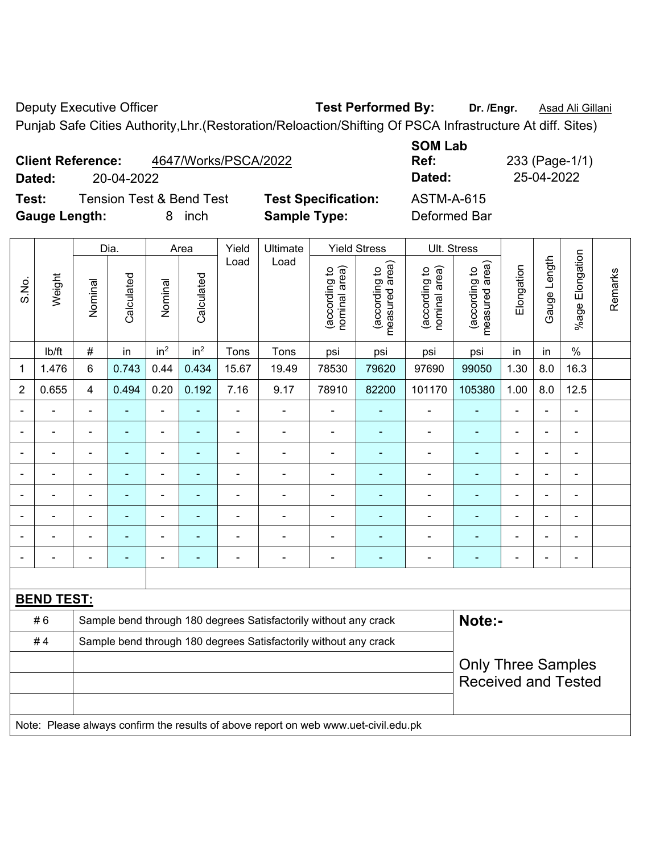Deputy Executive Officer **Test Performed By:** Dr. /Engr. **Asad Ali Gillani** Deputy Executive Officer Punjab Safe Cities Authority,Lhr.(Restoration/Reloaction/Shifting Of PSCA Infrastructure At diff. Sites)

|               |  |                          |                                     |       |                     |                            | $\sim$ angulo baro braco hamomy, Emily Rockstanding Rockstanding bin box minutes ablance in all $\sim$ 1.00 $\mu$ |            |                |  |
|---------------|--|--------------------------|-------------------------------------|-------|---------------------|----------------------------|-------------------------------------------------------------------------------------------------------------------|------------|----------------|--|
|               |  |                          |                                     |       |                     |                            | <b>SOM Lab</b>                                                                                                    |            |                |  |
|               |  | <b>Client Reference:</b> | 4647/Works/PSCA/2022                |       |                     |                            | Ref:                                                                                                              |            | 233 (Page-1/1) |  |
| Dated:        |  | 20-04-2022               |                                     |       |                     |                            | Dated:                                                                                                            | 25-04-2022 |                |  |
| Test:         |  |                          | <b>Tension Test &amp; Bend Test</b> |       |                     | <b>Test Specification:</b> | <b>ASTM-A-615</b>                                                                                                 |            |                |  |
| Gauge Length: |  |                          | inch<br>8                           |       | <b>Sample Type:</b> |                            | Deformed Bar                                                                                                      |            |                |  |
|               |  |                          |                                     |       |                     |                            |                                                                                                                   |            |                |  |
|               |  | Dia.                     | Area                                | Yield | Ultimate            | <b>Yield Stress</b>        | Ult. Stress                                                                                                       |            |                |  |

 $\overline{\phantom{a}}$ 

|                |                   |                           | Dia.                     | Area<br>Yield<br>Ultimate<br>Yield Stress<br>UII. Stress |                 |                          |                                                                                     |                                |                                 |                                |                                 |                |                          |                          |         |
|----------------|-------------------|---------------------------|--------------------------|----------------------------------------------------------|-----------------|--------------------------|-------------------------------------------------------------------------------------|--------------------------------|---------------------------------|--------------------------------|---------------------------------|----------------|--------------------------|--------------------------|---------|
| S.No.          | Weight            | Nominal                   | Calculated               | Nominal                                                  | Calculated      | Load                     | Load                                                                                | (according to<br>nominal area) | (according to<br>measured area) | nominal area)<br>(according to | measured area)<br>(according to | Elongation     | Gauge Length             | %age Elongation          | Remarks |
|                | lb/ft             | $\#$                      | in                       | in <sup>2</sup>                                          | in <sup>2</sup> | Tons                     | Tons                                                                                | psi                            | psi                             | psi                            | psi                             | in             | in                       | $\%$                     |         |
| 1              | 1.476             | $\,6\,$                   | 0.743                    | 0.44                                                     | 0.434           | 15.67                    | 19.49                                                                               | 78530                          | 79620                           | 97690                          | 99050                           | 1.30           | 8.0                      | 16.3                     |         |
| $\overline{2}$ | 0.655             | 4                         | 0.494                    | 0.20                                                     | 0.192           | 7.16                     | 9.17                                                                                | 78910                          | 82200                           | 101170                         | 105380                          | 1.00           | 8.0                      | 12.5                     |         |
|                |                   |                           |                          | $\blacksquare$                                           |                 |                          | $\blacksquare$                                                                      |                                |                                 |                                | ۰                               | $\blacksquare$ |                          |                          |         |
|                | $\blacksquare$    |                           | $\blacksquare$           | $\blacksquare$                                           |                 |                          | $\overline{a}$                                                                      | $\overline{\phantom{a}}$       |                                 |                                | ۰                               |                |                          | $\blacksquare$           |         |
|                |                   | $\blacksquare$            | $\blacksquare$           | $\blacksquare$                                           |                 |                          | ÷                                                                                   | $\blacksquare$                 | ۰                               | $\blacksquare$                 | $\overline{\phantom{0}}$        | $\blacksquare$ |                          | $\overline{\phantom{a}}$ |         |
|                | $\blacksquare$    | $\blacksquare$            | $\blacksquare$           | $\blacksquare$                                           | ۰               | $\blacksquare$           | $\blacksquare$                                                                      | ÷,                             | ٠                               | $\blacksquare$                 | $\blacksquare$                  | $\blacksquare$ | $\overline{\phantom{a}}$ | $\blacksquare$           |         |
|                | $\blacksquare$    |                           | $\overline{\phantom{0}}$ | $\overline{\phantom{0}}$                                 |                 | $\overline{\phantom{0}}$ | $\blacksquare$                                                                      | -                              | ۰                               | $\overline{a}$                 | $\overline{\phantom{0}}$        |                |                          | ÷                        |         |
|                |                   |                           |                          |                                                          |                 |                          |                                                                                     | $\blacksquare$                 |                                 |                                | ۰                               |                |                          |                          |         |
|                | $\blacksquare$    |                           |                          | $\blacksquare$                                           |                 |                          |                                                                                     | $\blacksquare$                 |                                 | Ē,                             | $\blacksquare$                  |                |                          | L,                       |         |
|                |                   |                           |                          | $\blacksquare$                                           |                 |                          | $\blacksquare$                                                                      | $\blacksquare$                 | ۰                               | $\blacksquare$                 | $\overline{\phantom{0}}$        |                |                          | ÷                        |         |
|                |                   |                           |                          |                                                          |                 |                          |                                                                                     |                                |                                 |                                |                                 |                |                          |                          |         |
|                | <b>BEND TEST:</b> |                           |                          |                                                          |                 |                          |                                                                                     |                                |                                 |                                |                                 |                |                          |                          |         |
|                | #6                |                           |                          |                                                          |                 |                          | Sample bend through 180 degrees Satisfactorily without any crack                    |                                |                                 |                                | Note:-                          |                |                          |                          |         |
|                | #4                |                           |                          |                                                          |                 |                          | Sample bend through 180 degrees Satisfactorily without any crack                    |                                |                                 |                                |                                 |                |                          |                          |         |
|                |                   | <b>Only Three Samples</b> |                          |                                                          |                 |                          |                                                                                     |                                |                                 |                                |                                 |                |                          |                          |         |
|                |                   |                           |                          |                                                          |                 |                          |                                                                                     |                                |                                 |                                | <b>Received and Tested</b>      |                |                          |                          |         |
|                |                   |                           |                          |                                                          |                 |                          |                                                                                     |                                |                                 |                                |                                 |                |                          |                          |         |
|                |                   |                           |                          |                                                          |                 |                          | Note: Please always confirm the results of above report on web www.uet-civil.edu.pk |                                |                                 |                                |                                 |                |                          |                          |         |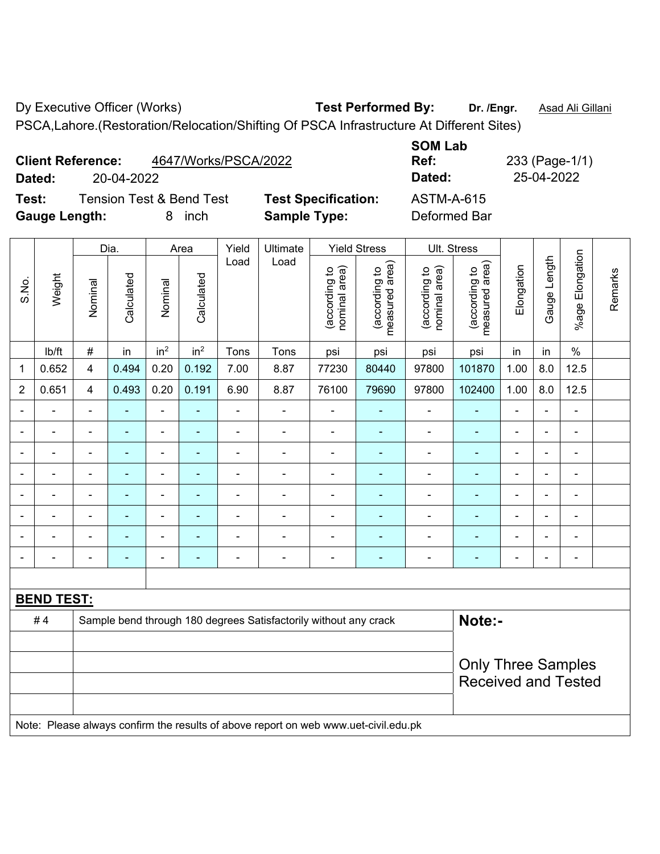Dy Executive Officer (Works) **Test Performed By: Dr. /Engr.** Asad Ali Gillani

PSCA,Lahore.(Restoration/Relocation/Shifting Of PSCA Infrastructure At Different Sites)

Dia. | Area | Yield | Ultimate | Yield Stress | Ult. Stress

<code>ib/ft</code>  $\mid$  #  $\mid$  in  $\mid$  in<sup>2</sup>  $\mid$  in<sup>2</sup>  $\mid$  Tons  $\mid$  psi  $\mid$  psi  $\mid$  psi  $\mid$  psi  $\mid$  in  $\mid$  in  $\mid$  % 1 | 0.652 | 4 | 0.494 | 0.20 | 0.192 | 7.00 | 8.87 | 77230 | 80440 | 97800 | 101870 | 1.00 | 8.0 | 12.5 2 | 0.651 | 4 | 0.493 | 0.20 | 0.191 | 6.90 | 8.87 | 76100 | 79690 | 97800 | 102400 | 1.00 | 8.0 | 12.5 - - - - - - - - - - - - - - - - - - - - - - - - - - - - - - - - - - - - - - - - - - - - - - - - - - - - - - - - - - - - - - - - - - - - - - - - - - - - - - - - - - - - - - - - - - - - - - - - - - - - - - - - - - - - - - - - - - - - - - - -

Load Load

# 4 Sample bend through 180 degrees Satisfactorily without any crack **Note:-**

Note: Please always confirm the results of above report on web www.uet-civil.edu.pk

|        | <b>Client Reference:</b><br>4647/Works/PSCA/2022 |                            | <b>JUIVI LAD</b><br>Ref: | 233 (Page-1/ |
|--------|--------------------------------------------------|----------------------------|--------------------------|--------------|
| Dated: | 20-04-2022                                       |                            | Dated:                   | 25-04-2022   |
| Test:  | <b>Tension Test &amp; Bend Test</b>              | <b>Test Specification:</b> | ASTM-A-615               |              |

Nominal

Vominal

**Calculated** 

Calculated

**Specification:** ASTM-A-615 **Sample Type: Deformed Bar** 

> (according to nominal area)

(according to<br>nominal area)

(according to measured area)

(according to<br>measured area)

(according to nominal area)

(according to<br>nominal area)

**SOM Lab Ref:** 233 (Page-1/1)

> (according to measured area)

(according to<br>measured area)

Gauge Length

Gauge Length

%age Elongation

%age Elongation

Remarks

Remarks

**Elongation** 

Elongation

Only Three Samples Received and Tested

| Test:                | <b>Tension Test &amp; Bend Test</b> |        |
|----------------------|-------------------------------------|--------|
| <b>Gauge Length:</b> |                                     | 8 inch |

**Calculated** 

Calculated

S.No.

Weight

**BEND TEST:** 

Nominal

Vominal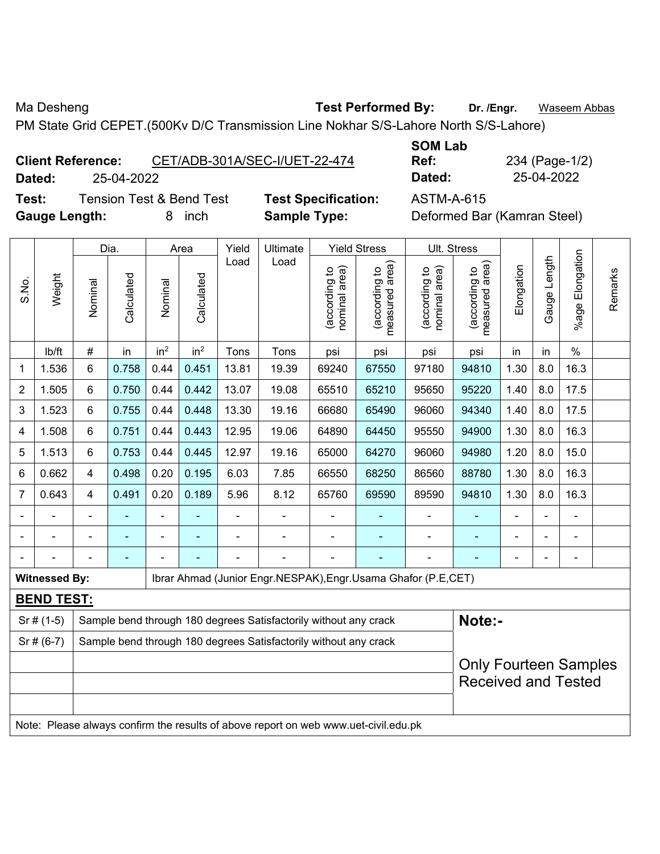Ma Desheng **Test Performed By:** Dr. /Engr. **Waseem Abbas Ma Desheng** 

PM State Grid CEPET.(500Kv D/C Transmission Line Nokhar S/S-Lahore North S/S-Lahore)

**Client Reference:** CET/ADB-301A/SEC-I/UET-22-474 **Dated:** 25-04-2022 **Dated:** 25-04-2022

**Test:** Tension Test & Bend Test **Test Specification:** ASTM-A-615 **Gauge Length:** 8 inch **Sample Type:** Deformed Bar (Kamran Steel)

**SOM Lab Ref:** 234 (Page-1/2)

|                |                      |                | Dia.                                                                       |                                                                                          | Area            | Yield | Ultimate                                                                            |                                | <b>Yield Stress</b>             |                                | <b>Ult. Stress</b>                                         |            |                |                       |         |
|----------------|----------------------|----------------|----------------------------------------------------------------------------|------------------------------------------------------------------------------------------|-----------------|-------|-------------------------------------------------------------------------------------|--------------------------------|---------------------------------|--------------------------------|------------------------------------------------------------|------------|----------------|-----------------------|---------|
| S.No.          | Weight               | Nominal        | Calculated                                                                 | Nominal                                                                                  | Calculated      | Load  | Load                                                                                | (according to<br>nominal area) | (according to<br>measured area) | nominal area)<br>(according to | (according to<br>measured area)                            | Elongation | Gauge Length   | Elongation<br>$%$ age | Remarks |
|                | lb/ft                | $\#$           | in                                                                         | in <sup>2</sup>                                                                          | in <sup>2</sup> | Tons  | Tons                                                                                | psi                            | psi                             | psi                            | psi                                                        | in         | in             | $\frac{0}{0}$         |         |
| 1              | 1.536                | 6              | 0.758                                                                      | 0.44                                                                                     | 0.451           | 13.81 | 19.39                                                                               | 69240                          | 67550                           | 97180                          | 94810                                                      | 1.30       | 8.0            | 16.3                  |         |
| $\overline{2}$ | 1.505                | 6              | 0.750                                                                      | 0.44                                                                                     | 0.442           | 13.07 | 19.08                                                                               | 65510                          | 65210                           | 95650                          | 95220                                                      | 1.40       | 8.0            | 17.5                  |         |
| 3              | 1.523                | 6              | 0.755                                                                      | 0.44                                                                                     | 0.448           | 13.30 | 19.16                                                                               | 66680                          | 65490                           | 96060                          | 94340                                                      | 1.40       | 8.0            | 17.5                  |         |
| 4              | 1.508                | 6              | 0.751                                                                      | 0.44                                                                                     | 0.443           | 12.95 | 19.06                                                                               | 64890                          | 64450                           | 95550                          | 94900                                                      | 1.30       | 8.0            | 16.3                  |         |
| 5              | 1.513                | 6              | 0.753                                                                      | 0.44                                                                                     | 0.445           | 12.97 | 19.16                                                                               | 65000                          | 64270                           | 96060                          | 94980                                                      | 1.20       | 8.0            | 15.0                  |         |
| 6              | 0.662                | $\overline{4}$ | 0.498                                                                      | 0.195<br>6.03<br>7.85<br>68250<br>86560<br>1.30<br>8.0<br>16.3<br>0.20<br>66550<br>88780 |                 |       |                                                                                     |                                |                                 |                                |                                                            |            |                |                       |         |
| $\overline{7}$ | 0.643                | $\overline{4}$ | 0.491                                                                      | 0.20                                                                                     | 0.189           | 5.96  | 8.12                                                                                | 65760                          | 69590                           | 89590                          | 94810                                                      | 1.30       | 8.0            | 16.3                  |         |
|                |                      |                |                                                                            |                                                                                          |                 |       |                                                                                     |                                |                                 |                                |                                                            |            |                |                       |         |
|                |                      | ä,             | $\blacksquare$                                                             |                                                                                          |                 |       |                                                                                     | $\blacksquare$                 |                                 | $\blacksquare$                 | $\blacksquare$                                             |            |                | $\blacksquare$        |         |
|                |                      |                | $\blacksquare$                                                             |                                                                                          |                 |       | ÷                                                                                   |                                |                                 |                                | -                                                          |            | $\blacksquare$ | ÷                     |         |
|                | <b>Witnessed By:</b> |                |                                                                            |                                                                                          |                 |       | Ibrar Ahmad (Junior Engr.NESPAK), Engr.Usama Ghafor (P.E, CET)                      |                                |                                 |                                |                                                            |            |                |                       |         |
|                | <b>BEND TEST:</b>    |                |                                                                            |                                                                                          |                 |       |                                                                                     |                                |                                 |                                |                                                            |            |                |                       |         |
|                | $Sr$ # (1-5)         |                | Note:-<br>Sample bend through 180 degrees Satisfactorily without any crack |                                                                                          |                 |       |                                                                                     |                                |                                 |                                |                                                            |            |                |                       |         |
|                | $Sr$ # (6-7)         |                |                                                                            |                                                                                          |                 |       | Sample bend through 180 degrees Satisfactorily without any crack                    |                                |                                 |                                |                                                            |            |                |                       |         |
|                |                      |                |                                                                            |                                                                                          |                 |       |                                                                                     |                                |                                 |                                | <b>Only Fourteen Samples</b><br><b>Received and Tested</b> |            |                |                       |         |
|                |                      |                |                                                                            |                                                                                          |                 |       | Note: Please always confirm the results of above report on web www.uet-civil.edu.pk |                                |                                 |                                |                                                            |            |                |                       |         |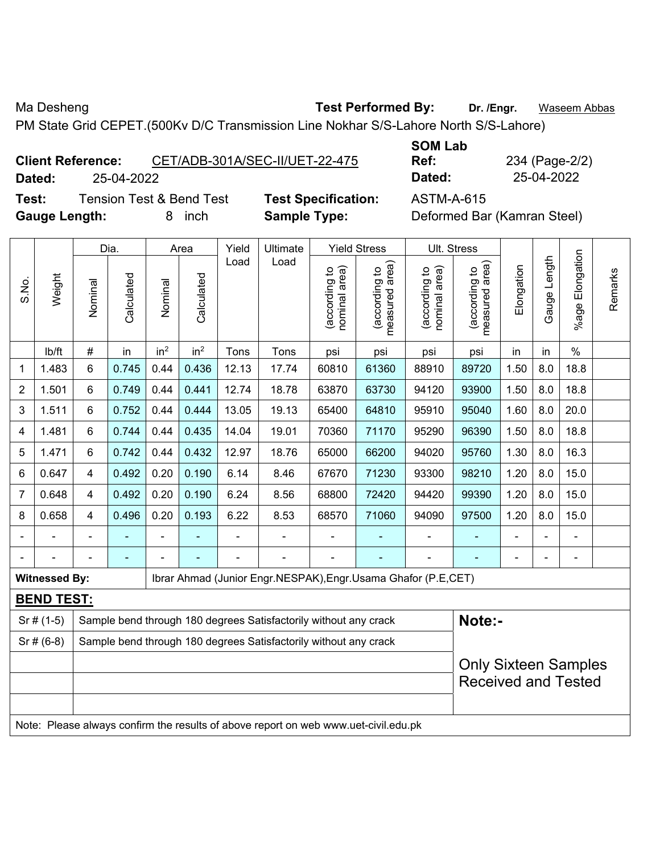Ma Desheng **Test Performed By:** Dr. /Engr. **Waseem Abbas Ma Desheng** 

PM State Grid CEPET.(500Kv D/C Transmission Line Nokhar S/S-Lahore North S/S-Lahore)

**Client Reference:** CET/ADB-301A/SEC-II/UET-22-475 **Dated:** 25-04-2022 **Dated:** 25-04-2022

**Test:** Tension Test & Bend Test **Test Specification:** ASTM-A-615 **Gauge Length:** 8 inch **Sample Type:** Deformed Bar (Kamran Steel)

|       |                      | Yield<br>Ultimate<br>Dia.<br>Area<br><b>Yield Stress</b><br>Ult. Stress<br>Load<br>Load |                                                                                                   |                 |                 |       |                                                                                     |                               |                                 |                                |                                                           |            |              |                      |         |
|-------|----------------------|-----------------------------------------------------------------------------------------|---------------------------------------------------------------------------------------------------|-----------------|-----------------|-------|-------------------------------------------------------------------------------------|-------------------------------|---------------------------------|--------------------------------|-----------------------------------------------------------|------------|--------------|----------------------|---------|
| S.No. | Weight               | Nominal                                                                                 | Calculated                                                                                        | Nominal         | Calculated      |       |                                                                                     | nominal area)<br>according to | (according to<br>measured area) | nominal area)<br>(according to | (according to<br>measured area)                           | Elongation | Gauge Length | Elongation<br>%age I | Remarks |
|       | lb/ft                | $\#$                                                                                    | in                                                                                                | in <sup>2</sup> | in <sup>2</sup> | Tons  | Tons                                                                                | psi                           | psi                             | psi                            | psi                                                       | in         | in           | $\%$                 |         |
| 1     | 1.483                | $6\phantom{1}$                                                                          | 0.745                                                                                             | 0.44            | 0.436           | 12.13 | 17.74                                                                               | 60810                         | 61360                           | 88910                          | 89720                                                     | 1.50       | 8.0          | 18.8                 |         |
| 2     | 1.501                | 6                                                                                       | 0.749                                                                                             | 0.44            | 0.441           | 12.74 | 18.78                                                                               | 63870                         | 63730                           | 94120                          | 93900                                                     | 1.50       | 8.0          | 18.8                 |         |
| 3     | 1.511                | $6\phantom{1}$                                                                          | 0.752                                                                                             | 0.44            | 0.444           | 13.05 | 19.13                                                                               | 65400                         | 64810                           | 95910                          | 95040                                                     | 1.60       | 8.0          | 20.0                 |         |
| 4     | 1.481                | 6                                                                                       | 0.744                                                                                             | 0.44            | 0.435           | 14.04 | 19.01                                                                               | 70360                         | 71170                           | 95290                          | 96390                                                     | 1.50       | 8.0          | 18.8                 |         |
| 5     | 1.471                | 6                                                                                       | 0.742                                                                                             | 0.44            | 0.432           | 12.97 | 18.76                                                                               | 65000                         | 66200                           | 94020                          | 95760                                                     | 1.30       | 8.0          | 16.3                 |         |
| 6     | 0.647                | 4                                                                                       | 0.492                                                                                             | 0.20            | 0.190           | 6.14  | 8.46                                                                                | 67670                         | 71230                           | 93300                          | 98210                                                     | 1.20       | 8.0          | 15.0                 |         |
| 7     | 0.648                | 4                                                                                       | 0.492<br>0.20<br>0.190<br>6.24<br>1.20<br>8.56<br>68800<br>72420<br>94420<br>99390<br>8.0<br>15.0 |                 |                 |       |                                                                                     |                               |                                 |                                |                                                           |            |              |                      |         |
| 8     | 0.658                | 4                                                                                       | 0.496                                                                                             | 0.20            | 0.193           | 6.22  | 8.53                                                                                | 68570                         | 71060                           | 94090                          | 97500                                                     | 1.20       | 8.0          | 15.0                 |         |
|       |                      |                                                                                         |                                                                                                   |                 |                 |       |                                                                                     |                               |                                 |                                |                                                           |            |              |                      |         |
|       |                      |                                                                                         |                                                                                                   |                 |                 |       |                                                                                     |                               |                                 |                                |                                                           |            |              | $\blacksquare$       |         |
|       | <b>Witnessed By:</b> |                                                                                         |                                                                                                   |                 |                 |       | Ibrar Ahmad (Junior Engr.NESPAK), Engr.Usama Ghafor (P.E, CET)                      |                               |                                 |                                |                                                           |            |              |                      |         |
|       | <b>BEND TEST:</b>    |                                                                                         |                                                                                                   |                 |                 |       |                                                                                     |                               |                                 |                                |                                                           |            |              |                      |         |
|       | $Sr#(1-5)$           |                                                                                         | Note:-<br>Sample bend through 180 degrees Satisfactorily without any crack                        |                 |                 |       |                                                                                     |                               |                                 |                                |                                                           |            |              |                      |         |
|       | $Sr$ # (6-8)         |                                                                                         |                                                                                                   |                 |                 |       | Sample bend through 180 degrees Satisfactorily without any crack                    |                               |                                 |                                |                                                           |            |              |                      |         |
|       |                      |                                                                                         |                                                                                                   |                 |                 |       |                                                                                     |                               |                                 |                                | <b>Only Sixteen Samples</b><br><b>Received and Tested</b> |            |              |                      |         |
|       |                      |                                                                                         |                                                                                                   |                 |                 |       | Note: Please always confirm the results of above report on web www.uet-civil.edu.pk |                               |                                 |                                |                                                           |            |              |                      |         |

**SOM Lab Ref:** 234 (Page-2/2)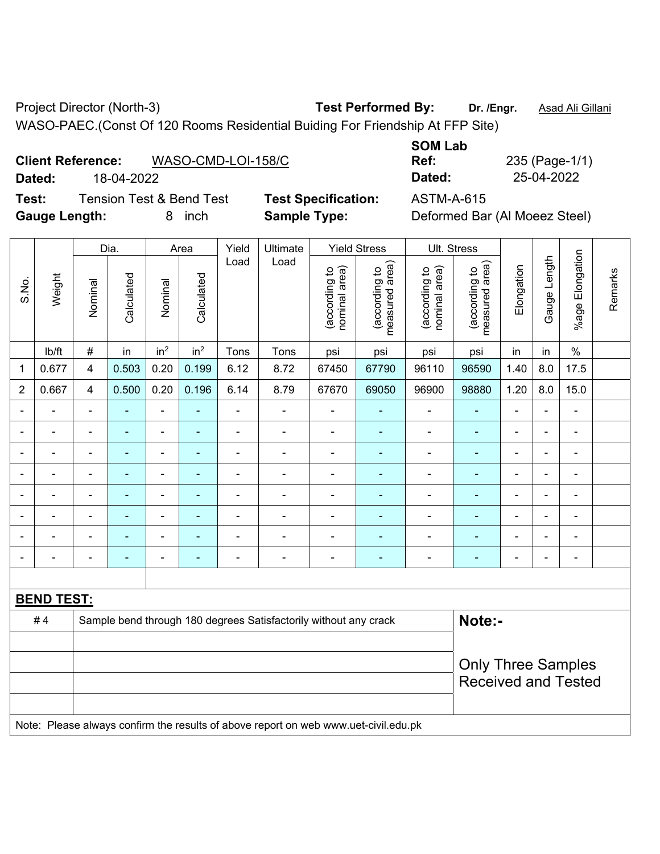Project Director (North-3) **Test Performed By:** Dr. /Engr. **Asad Ali Gillani** WASO-PAEC.(Const Of 120 Rooms Residential Buiding For Friendship At FFP Site)

**SOM Lab** 

| <b>Client Reference:</b> | WASO-CMD-LOI-158/C |
|--------------------------|--------------------|
|                          |                    |

**Test:** Tension Test & Bend Test **Test Specification:** ASTM-A-615 **Gauge Length:** 8 inch **Sample Type:** Deformed Bar (Al Moeez Steel)

**Dated:** 18-04-2022 **Dated:** 25-04-2022

**Ref:** 235 (Page-1/1)

|                |                   |                         | Dia.           |                          | Area                     | Yield          | Ultimate                                                                            |                                | <b>Yield Stress</b>             | Ult. Stress                    |                                 |                |                |                          |         |
|----------------|-------------------|-------------------------|----------------|--------------------------|--------------------------|----------------|-------------------------------------------------------------------------------------|--------------------------------|---------------------------------|--------------------------------|---------------------------------|----------------|----------------|--------------------------|---------|
| S.No.          | Weight            | Nominal                 | Calculated     | Nominal                  | Calculated               | Load           | Load                                                                                | nominal area)<br>(according to | measured area)<br>(according to | nominal area)<br>(according to | measured area)<br>(according to | Elongation     | Gauge Length   | %age Elongation          | Remarks |
|                | lb/ft             | $\#$                    | in             | in <sup>2</sup>          | in <sup>2</sup>          | Tons           | Tons                                                                                | psi                            | psi                             | psi                            | psi                             | in             | in             | $\frac{0}{0}$            |         |
| 1              | 0.677             | $\overline{\mathbf{4}}$ | 0.503          | 0.20                     | 0.199                    | 6.12           | 8.72                                                                                | 67450                          | 67790                           | 96110                          | 96590                           | 1.40           | 8.0            | 17.5                     |         |
| $\overline{2}$ | 0.667             | $\overline{4}$          | 0.500          | 0.20                     | 0.196                    | 6.14           | 8.79                                                                                | 67670                          | 69050                           | 96900                          | 98880                           | 1.20           | 8.0            | 15.0                     |         |
|                |                   |                         |                | L,                       |                          | L,             |                                                                                     |                                |                                 | $\blacksquare$                 |                                 |                |                |                          |         |
|                |                   |                         |                | ÷                        |                          | ä,             | $\blacksquare$                                                                      |                                |                                 | $\blacksquare$                 | ÷                               | -              | $\blacksquare$ | ÷                        |         |
|                |                   |                         |                | ۰                        | ÷                        |                | $\blacksquare$                                                                      | Ē,                             |                                 | -                              | -                               |                | $\blacksquare$ | $\overline{\phantom{a}}$ |         |
|                |                   | $\blacksquare$          | $\blacksquare$ | $\overline{a}$           | $\overline{\phantom{0}}$ | $\overline{a}$ | ÷,                                                                                  | ä,                             | $\overline{\phantom{a}}$        | $\blacksquare$                 | $\blacksquare$                  | ä,             | ÷,             | $\overline{\phantom{a}}$ |         |
|                | $\blacksquare$    |                         | Ē,             | $\overline{\phantom{0}}$ | ÷                        | ä,             | $\blacksquare$                                                                      | L,                             | $\blacksquare$                  | $\blacksquare$                 | ä,                              | $\blacksquare$ | $\blacksquare$ | $\blacksquare$           |         |
|                | $\blacksquare$    |                         |                | ÷,                       | ۰                        | ä,             | $\blacksquare$                                                                      |                                |                                 | $\blacksquare$                 | ä,                              | ä,             | $\blacksquare$ | $\blacksquare$           |         |
|                |                   |                         |                | $\blacksquare$           |                          |                |                                                                                     |                                |                                 | ۳                              | $\blacksquare$                  |                |                |                          |         |
|                |                   |                         |                | ÷                        | ۳                        | $\blacksquare$ | $\blacksquare$                                                                      | Ē,                             |                                 | -                              | Ē.                              | $\blacksquare$ | Ē,             | $\blacksquare$           |         |
|                |                   |                         |                |                          |                          |                |                                                                                     |                                |                                 |                                |                                 |                |                |                          |         |
|                | <b>BEND TEST:</b> |                         |                |                          |                          |                |                                                                                     |                                |                                 |                                |                                 |                |                |                          |         |
|                | #4                |                         |                |                          |                          |                | Sample bend through 180 degrees Satisfactorily without any crack                    |                                |                                 |                                | Note:-                          |                |                |                          |         |
|                |                   |                         |                |                          |                          |                |                                                                                     |                                |                                 |                                |                                 |                |                |                          |         |
|                |                   |                         |                |                          |                          |                |                                                                                     |                                |                                 |                                | <b>Only Three Samples</b>       |                |                |                          |         |
|                |                   |                         |                |                          |                          |                |                                                                                     |                                |                                 |                                | <b>Received and Tested</b>      |                |                |                          |         |
|                |                   |                         |                |                          |                          |                |                                                                                     |                                |                                 |                                |                                 |                |                |                          |         |
|                |                   |                         |                |                          |                          |                | Note: Please always confirm the results of above report on web www.uet-civil.edu.pk |                                |                                 |                                |                                 |                |                |                          |         |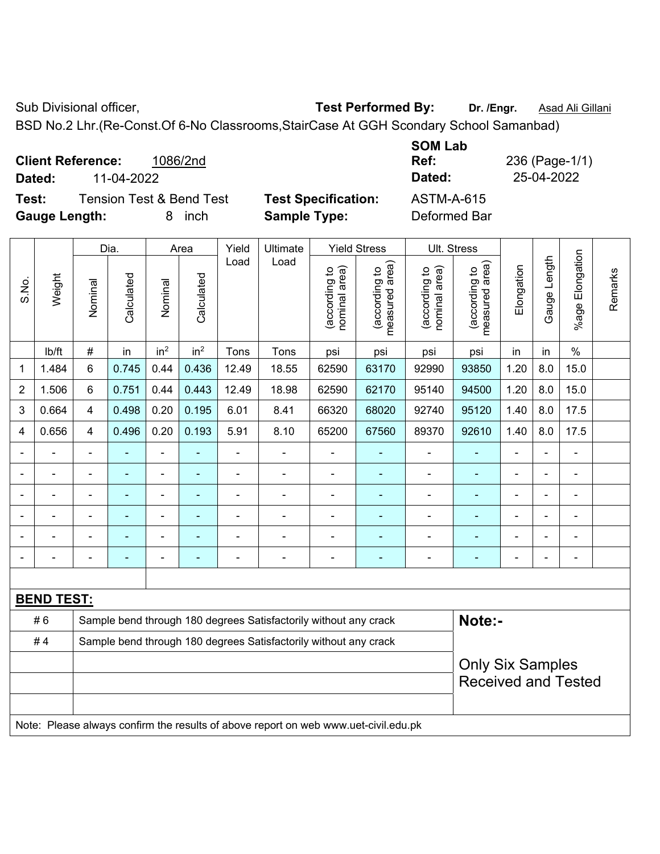Sub Divisional officer, **Test Performed By:** Dr. /Engr. **Asad Ali Gillani** Cultum

BSD No.2 Lhr.(Re-Const.Of 6-No Classrooms,StairCase At GGH Scondary School Samanbad)

|                      | <b>Client Reference:</b> | 1086/2nd                            |                            | SUM LAD<br>Ref:   | 236 (Page-1/1) |
|----------------------|--------------------------|-------------------------------------|----------------------------|-------------------|----------------|
| Dated:               | 11-04-2022               |                                     |                            | Dated:            | 25-04-2022     |
| Test:                |                          | <b>Tension Test &amp; Bend Test</b> | <b>Test Specification:</b> | <b>ASTM-A-615</b> |                |
| <b>Gauge Length:</b> |                          | inch<br>8                           | <b>Sample Type:</b>        | Deformed Bar      |                |

|                |                   |                                                                                     | Dia.                                                             |                          | Area            | Yield                                                                           | Ultimate                                                         |                                | <b>Yield Stress</b>             |                                | Ult. Stress                     |                |              |                       |         |
|----------------|-------------------|-------------------------------------------------------------------------------------|------------------------------------------------------------------|--------------------------|-----------------|---------------------------------------------------------------------------------|------------------------------------------------------------------|--------------------------------|---------------------------------|--------------------------------|---------------------------------|----------------|--------------|-----------------------|---------|
| S.No.          | Weight            | Nominal                                                                             | Calculated                                                       | Nominal                  | Calculated      | Load                                                                            | Load                                                             | nominal area)<br>(according to | (according to<br>measured area) | nominal area)<br>(according to | (according to<br>measured area) | Elongation     | Gauge Length | Elongation<br>$%$ age | Remarks |
|                | lb/ft             | #                                                                                   | in                                                               | in <sup>2</sup>          | in <sup>2</sup> | Tons                                                                            | Tons                                                             | psi                            | psi                             | psi                            | psi                             | in             | in           | $\%$                  |         |
| 1              | 1.484             | $\,6\,$                                                                             | 0.745                                                            | 0.44                     | 0.436           | 12.49                                                                           | 18.55                                                            | 62590                          | 63170                           | 92990                          | 93850                           | 1.20           | 8.0          | 15.0                  |         |
| $\overline{2}$ | 1.506             | 6                                                                                   | 0.751                                                            | 0.44                     | 0.443           | 12.49                                                                           | 18.98                                                            | 62590                          | 62170                           | 95140                          | 94500                           | 1.20           | 8.0          | 15.0                  |         |
| 3              | 0.664             | 4                                                                                   | 0.498                                                            | 0.20                     | 0.195           | 6.01                                                                            | 8.41                                                             | 66320                          | 68020                           | 92740                          | 95120                           | 1.40           | 8.0          | 17.5                  |         |
| $\overline{4}$ | 0.656             | 4                                                                                   | 0.496                                                            | 0.20                     | 0.193           | 5.91                                                                            | 8.10                                                             | 65200                          | 67560                           | 89370                          | 92610                           | 1.40           | 8.0          | 17.5                  |         |
|                |                   | $\blacksquare$                                                                      | $\blacksquare$                                                   | $\blacksquare$           |                 | $\blacksquare$                                                                  | ÷                                                                | $\blacksquare$                 |                                 | $\blacksquare$                 | $\blacksquare$                  | $\blacksquare$ |              | $\blacksquare$        |         |
|                | ÷                 | $\blacksquare$                                                                      | ä,                                                               | $\blacksquare$           | ٠               | $\blacksquare$<br>÷<br>ä,<br>$\blacksquare$<br>$\blacksquare$<br>$\blacksquare$ |                                                                  |                                |                                 |                                | $\blacksquare$                  | $\overline{a}$ |              | $\blacksquare$        |         |
|                |                   |                                                                                     | ۰                                                                | $\blacksquare$           |                 | Ē,                                                                              | $\blacksquare$                                                   | $\blacksquare$                 | $\blacksquare$                  | $\blacksquare$                 |                                 | $\blacksquare$ |              |                       |         |
|                |                   |                                                                                     |                                                                  | $\blacksquare$           |                 |                                                                                 |                                                                  |                                |                                 |                                |                                 |                |              |                       |         |
|                |                   |                                                                                     |                                                                  | $\overline{\phantom{0}}$ |                 |                                                                                 |                                                                  | $\blacksquare$                 |                                 | $\overline{\phantom{a}}$       | $\blacksquare$                  |                |              | $\blacksquare$        |         |
|                |                   |                                                                                     | ۰                                                                | $\blacksquare$           |                 | ٠                                                                               | ÷                                                                | $\blacksquare$                 | ٠                               | $\overline{a}$                 | $\blacksquare$                  | $\blacksquare$ |              | ÷                     |         |
|                |                   |                                                                                     |                                                                  |                          |                 |                                                                                 |                                                                  |                                |                                 |                                |                                 |                |              |                       |         |
|                | <b>BEND TEST:</b> |                                                                                     |                                                                  |                          |                 |                                                                                 |                                                                  |                                |                                 |                                |                                 |                |              |                       |         |
|                | #6                |                                                                                     |                                                                  |                          |                 |                                                                                 | Sample bend through 180 degrees Satisfactorily without any crack |                                |                                 |                                | Note:-                          |                |              |                       |         |
|                | #4                |                                                                                     | Sample bend through 180 degrees Satisfactorily without any crack |                          |                 |                                                                                 |                                                                  |                                |                                 |                                |                                 |                |              |                       |         |
|                |                   |                                                                                     |                                                                  |                          |                 |                                                                                 |                                                                  |                                |                                 |                                | <b>Only Six Samples</b>         |                |              |                       |         |
|                |                   |                                                                                     |                                                                  |                          |                 |                                                                                 |                                                                  |                                |                                 |                                | <b>Received and Tested</b>      |                |              |                       |         |
|                |                   | Note: Please always confirm the results of above report on web www.uet-civil.edu.pk |                                                                  |                          |                 |                                                                                 |                                                                  |                                |                                 |                                |                                 |                |              |                       |         |

**SOM Lab**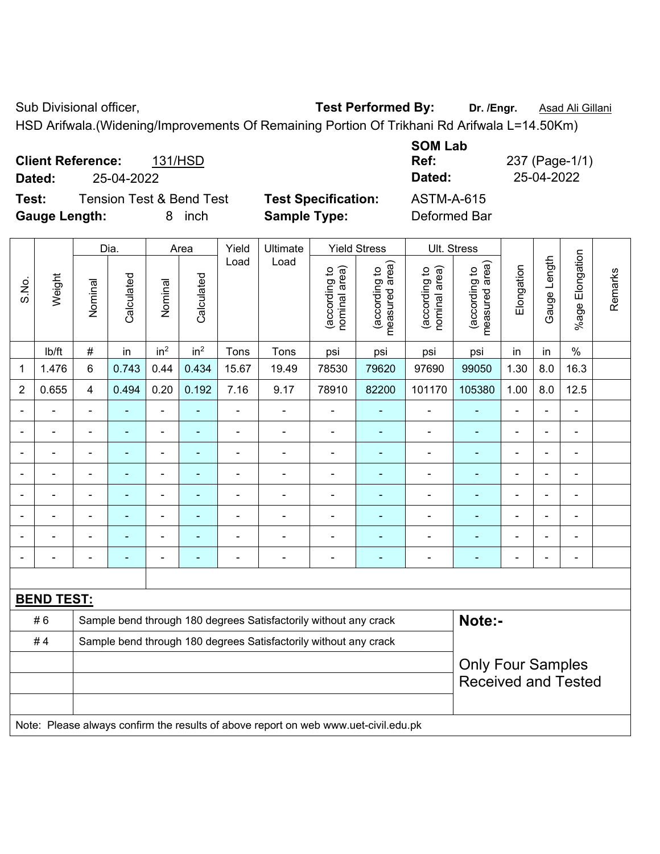Sub Divisional officer, **Test Performed By:** Dr. /Engr. **Asad Ali Gillani** Associated By: Dr. /Engr. **Asad Ali Gillani** 

HSD Arifwala.(Widening/Improvements Of Remaining Portion Of Trikhani Rd Arifwala L=14.50Km)

| <b>Client Reference:</b><br>Dated: | 25-04-2022                          | 131/HSD    |                            | <b>SOM Lab</b><br>Ref:<br>Dated: | 237 (Page-1/1)<br>25-04-2022 |
|------------------------------------|-------------------------------------|------------|----------------------------|----------------------------------|------------------------------|
| Test:                              | <b>Tension Test &amp; Bend Test</b> |            | <b>Test Specification:</b> | ASTM-A-615                       |                              |
| <b>Gauge Length:</b>               |                                     | inch<br>8. | <b>Sample Type:</b>        | Deformed Bar                     |                              |

|                |                   |                                                                  | Dia.           |                              | Area            | Yield          | Ultimate                                                                            |                                | <b>Yield Stress</b>             |                                | Ult. Stress                     |                |                |                              |         |
|----------------|-------------------|------------------------------------------------------------------|----------------|------------------------------|-----------------|----------------|-------------------------------------------------------------------------------------|--------------------------------|---------------------------------|--------------------------------|---------------------------------|----------------|----------------|------------------------------|---------|
| S.No.          | Weight            | Nominal                                                          | Calculated     | Nominal                      | Calculated      | Load           | Load                                                                                | nominal area)<br>(according to | measured area)<br>(according to | nominal area)<br>(according to | measured area)<br>(according to | Elongation     | Gauge Length   | %age Elongation              | Remarks |
|                | lb/ft             | $\#$                                                             | in             | in <sup>2</sup>              | in <sup>2</sup> | Tons           | Tons                                                                                | psi                            | psi                             | psi                            | psi                             | in             | in             | $\%$                         |         |
| 1              | 1.476             | 6                                                                | 0.743          | 0.44                         | 0.434           | 15.67          | 19.49                                                                               | 78530                          | 79620                           | 97690                          | 99050                           | 1.30           | 8.0            | 16.3                         |         |
| $\overline{2}$ | 0.655             | $\overline{4}$                                                   | 0.494          | 0.20                         | 0.192           | 7.16           | 9.17                                                                                | 78910                          | 82200                           | 101170                         | 105380                          | 1.00           | 8.0            | 12.5                         |         |
|                |                   | $\blacksquare$                                                   | ÷,             | $\blacksquare$               | $\blacksquare$  | $\blacksquare$ | ÷,                                                                                  | $\blacksquare$                 | $\blacksquare$                  | $\blacksquare$                 | ٠                               | $\blacksquare$ | $\blacksquare$ | $\overline{\phantom{a}}$     |         |
|                | $\blacksquare$    | $\blacksquare$                                                   | $\blacksquare$ | $\blacksquare$               | ٠               | $\blacksquare$ | $\blacksquare$                                                                      | $\blacksquare$                 | $\blacksquare$                  | $\blacksquare$                 | ٠                               | $\blacksquare$ | $\blacksquare$ | $\blacksquare$               |         |
|                | $\blacksquare$    | $\overline{\phantom{0}}$                                         | $\blacksquare$ | $\qquad \qquad \blacksquare$ | ۰               | $\blacksquare$ | $\blacksquare$                                                                      | $\blacksquare$                 | $\blacksquare$                  | $\blacksquare$                 | $\blacksquare$                  | $\blacksquare$ |                | ÷,                           |         |
|                |                   | $\blacksquare$                                                   | $\blacksquare$ | ÷                            |                 | ä,             | $\blacksquare$                                                                      |                                | ٠                               | $\blacksquare$                 | ۰                               |                |                | ÷                            |         |
|                |                   |                                                                  | ٠              | ä,                           |                 | $\blacksquare$ | $\blacksquare$                                                                      |                                | $\blacksquare$                  | $\blacksquare$                 | ۰                               |                |                | $\blacksquare$               |         |
|                |                   | $\blacksquare$                                                   | $\blacksquare$ | $\blacksquare$               |                 | $\blacksquare$ | $\blacksquare$                                                                      | $\blacksquare$                 |                                 | ÷                              | $\blacksquare$                  |                |                | $\blacksquare$               |         |
|                |                   |                                                                  |                | -                            |                 | $\blacksquare$ | $\blacksquare$                                                                      |                                |                                 | ٠                              | ۰                               |                |                | ۰                            |         |
|                |                   | $\overline{\phantom{0}}$                                         | $\blacksquare$ | $\blacksquare$               | $\overline{a}$  | -              | $\blacksquare$                                                                      | $\blacksquare$                 | $\blacksquare$                  | $\overline{a}$                 | ۰                               | $\blacksquare$ | $\blacksquare$ | $\qquad \qquad \blacksquare$ |         |
|                |                   |                                                                  |                |                              |                 |                |                                                                                     |                                |                                 |                                |                                 |                |                |                              |         |
|                | <b>BEND TEST:</b> |                                                                  |                |                              |                 |                |                                                                                     |                                |                                 |                                |                                 |                |                |                              |         |
|                | #6                |                                                                  |                |                              |                 |                | Sample bend through 180 degrees Satisfactorily without any crack                    |                                |                                 |                                | Note:-                          |                |                |                              |         |
|                | #4                | Sample bend through 180 degrees Satisfactorily without any crack |                |                              |                 |                |                                                                                     |                                |                                 |                                |                                 |                |                |                              |         |
|                |                   |                                                                  |                |                              |                 |                |                                                                                     |                                |                                 |                                | <b>Only Four Samples</b>        |                |                |                              |         |
|                |                   |                                                                  |                |                              |                 |                |                                                                                     |                                |                                 |                                | <b>Received and Tested</b>      |                |                |                              |         |
|                |                   |                                                                  |                |                              |                 |                |                                                                                     |                                |                                 |                                |                                 |                |                |                              |         |
|                |                   |                                                                  |                |                              |                 |                | Note: Please always confirm the results of above report on web www.uet-civil.edu.pk |                                |                                 |                                |                                 |                |                |                              |         |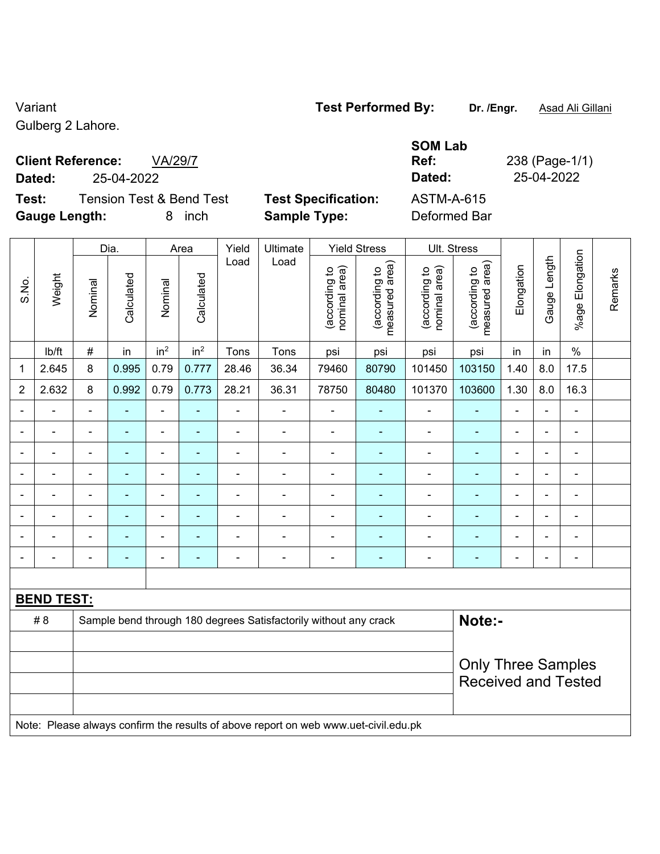## Variant **Test Performed By: Dr. /Engr.** Asad Ali Gillani

Gulberg 2 Lahore.

## **Client Reference:** VA/29/7

**Test:** Tension Test & Bend Test **Test Specification: Gauge Length:** 8 inch **Sample Type:** Deformed Bar

|        |                                     |                            | <b>SOM Lab</b> |                |
|--------|-------------------------------------|----------------------------|----------------|----------------|
|        | <b>Client Reference:</b><br>VA/29/7 |                            | Ref:           | 238 (Page-1/1) |
| Dated: | 25-04-2022                          |                            | Dated:         | 25-04-2022     |
| Test:  | Tension Test & Bend Test            | <b>Test Specification:</b> | ASTM-A-615     |                |

|                |                   |                | Dia.           |                          | Area            | Yield                                                                     | Ultimate                                                                            |                                | <b>Yield Stress</b>             |                                | Ult. Stress                                 |                |                          |                              |         |
|----------------|-------------------|----------------|----------------|--------------------------|-----------------|---------------------------------------------------------------------------|-------------------------------------------------------------------------------------|--------------------------------|---------------------------------|--------------------------------|---------------------------------------------|----------------|--------------------------|------------------------------|---------|
| S.No.          | Weight            | Nominal        | Calculated     | Nominal                  | Calculated      | Load                                                                      | Load                                                                                | nominal area)<br>(according to | (according to<br>measured area) | (according to<br>nominal area) | (according to<br>neasured area)<br>measured | Elongation     | Gauge Length             | Elongation<br>$%$ age        | Remarks |
|                | lb/ft             | $\#$           | in             | in <sup>2</sup>          | in <sup>2</sup> | Tons                                                                      | Tons                                                                                | psi                            | psi                             | psi                            | psi                                         | in             | in                       | $\%$                         |         |
| 1              | 2.645             | 8              | 0.995          | 0.79                     | 0.777           | 28.46                                                                     | 36.34                                                                               | 79460                          | 80790                           | 101450                         | 103150                                      | 1.40           | 8.0                      | 17.5                         |         |
| $\overline{2}$ | 2.632             | 8              | 0.992          | 0.79                     | 0.773           | 28.21                                                                     | 36.31                                                                               | 78750                          | 80480                           | 101370                         | 103600                                      | 1.30           | 8.0                      | 16.3                         |         |
| $\blacksquare$ | $\blacksquare$    | $\blacksquare$ | $\blacksquare$ | $\blacksquare$           | $\blacksquare$  | $\blacksquare$                                                            | $\frac{1}{2}$                                                                       | $\blacksquare$                 | $\blacksquare$                  | $\overline{a}$                 | $\blacksquare$                              | $\blacksquare$ | $\blacksquare$           | $\qquad \qquad \blacksquare$ |         |
| $\blacksquare$ | $\blacksquare$    | $\blacksquare$ | $\blacksquare$ | $\blacksquare$           | $\blacksquare$  | $\blacksquare$                                                            | $\frac{1}{2}$                                                                       | $\overline{\phantom{a}}$       | $\blacksquare$                  | $\blacksquare$                 | ÷                                           | ä,             | $\blacksquare$           | $\blacksquare$               |         |
|                | $\blacksquare$    | $\blacksquare$ | $\blacksquare$ | $\blacksquare$           | $\blacksquare$  | $\blacksquare$                                                            | ÷.                                                                                  | $\blacksquare$                 | ä,                              | $\blacksquare$                 | ÷                                           | $\blacksquare$ | ÷                        | $\blacksquare$               |         |
|                | ÷.                | $\blacksquare$ | $\blacksquare$ | $\overline{\phantom{a}}$ | $\blacksquare$  | $\blacksquare$<br>$\blacksquare$<br>$\blacksquare$<br>۰<br>$\blacksquare$ |                                                                                     |                                |                                 |                                | ٠                                           | $\overline{a}$ |                          | $\blacksquare$               |         |
|                |                   |                |                | $\blacksquare$           |                 | ä,                                                                        | ÷.                                                                                  | $\blacksquare$                 | $\blacksquare$                  | ä,                             |                                             |                | ÷                        |                              |         |
|                |                   |                |                | $\overline{\phantom{0}}$ |                 |                                                                           | $\blacksquare$                                                                      | $\blacksquare$                 |                                 |                                | $\blacksquare$                              |                |                          | $\blacksquare$               |         |
|                |                   | $\blacksquare$ |                | $\blacksquare$           | $\blacksquare$  |                                                                           | $\blacksquare$                                                                      | $\blacksquare$                 | $\blacksquare$                  | $\blacksquare$                 | ۰                                           | $\blacksquare$ | $\overline{\phantom{0}}$ | $\blacksquare$               |         |
| $\blacksquare$ | $\blacksquare$    | $\blacksquare$ | $\blacksquare$ | $\blacksquare$           | $\blacksquare$  | $\blacksquare$                                                            | $\blacksquare$                                                                      | $\blacksquare$                 | $\blacksquare$                  | $\blacksquare$                 | ÷                                           | $\overline{a}$ | $\blacksquare$           | $\blacksquare$               |         |
|                |                   |                |                |                          |                 |                                                                           |                                                                                     |                                |                                 |                                |                                             |                |                          |                              |         |
|                | <b>BEND TEST:</b> |                |                |                          |                 |                                                                           |                                                                                     |                                |                                 |                                |                                             |                |                          |                              |         |
|                | # 8               |                |                |                          |                 |                                                                           | Sample bend through 180 degrees Satisfactorily without any crack                    |                                |                                 |                                | Note:-                                      |                |                          |                              |         |
|                |                   |                |                |                          |                 |                                                                           |                                                                                     |                                |                                 |                                |                                             |                |                          |                              |         |
|                |                   |                |                |                          |                 |                                                                           |                                                                                     |                                |                                 |                                | <b>Only Three Samples</b>                   |                |                          |                              |         |
|                |                   |                |                |                          |                 |                                                                           |                                                                                     |                                |                                 |                                | <b>Received and Tested</b>                  |                |                          |                              |         |
|                |                   |                |                |                          |                 |                                                                           |                                                                                     |                                |                                 |                                |                                             |                |                          |                              |         |
|                |                   |                |                |                          |                 |                                                                           | Note: Please always confirm the results of above report on web www.uet-civil.edu.pk |                                |                                 |                                |                                             |                |                          |                              |         |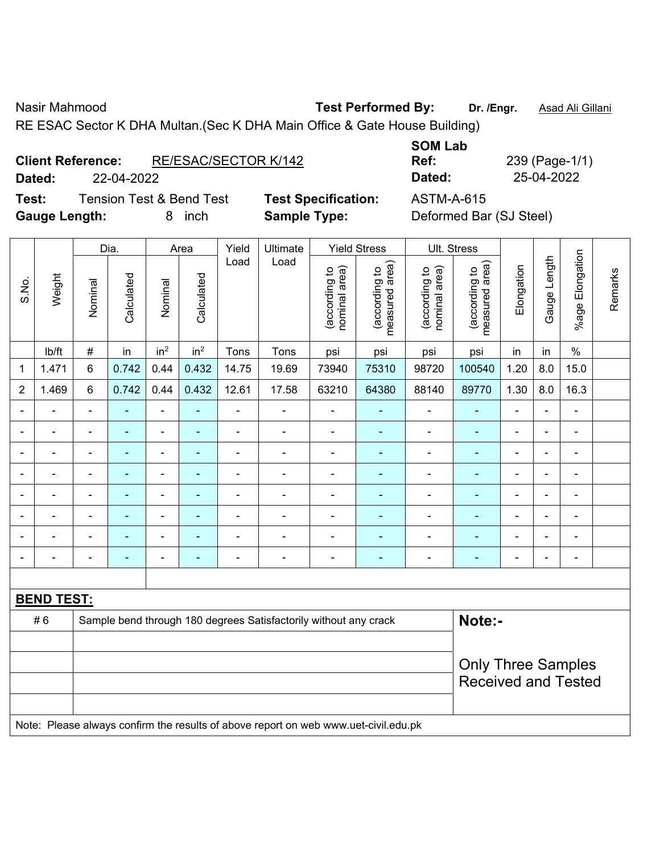Nasir Mahmood **Test Performed By:** Dr. /Engr. **Asad Ali Gillani** Associates Associates Associates Associates Associates Associates Associates Associates Associates Associates Associates Associates Associates Associates Ass

RE ESAC Sector K DHA Multan.(Sec K DHA Main Office & Gate House Building)

| <b>Client Reference:</b> | RE/ESAC/SECTOR K/142 |
|--------------------------|----------------------|
|                          |                      |

**Dated:** 22-04-2022 **Dated:** 25-04-2022

**Test:** Tension Test & Bend Test **Test Specification:** ASTM-A-615 **Gauge Length:** 8 inch **Sample Type:** Deformed Bar (SJ Steel)

**SOM Lab Ref:** 239 (Page-1/1)

|                |                   |                | Dia.           |                 | Area            | Yield          | Ultimate                                                                            |                                | <b>Yield Stress</b>             |                                | Ult. Stress                     |                              |                |                          |         |
|----------------|-------------------|----------------|----------------|-----------------|-----------------|----------------|-------------------------------------------------------------------------------------|--------------------------------|---------------------------------|--------------------------------|---------------------------------|------------------------------|----------------|--------------------------|---------|
| S.No.          | Weight            | Nominal        | Calculated     | Nominal         | Calculated      | Load           | Load                                                                                | (according to<br>nominal area) | (according to<br>measured area) | (according to<br>nominal area) | (according to<br>measured area) | Elongation                   | Gauge Length   | %age Elongation          | Remarks |
|                | Ib/ft             | $\#$           | in             | in <sup>2</sup> | in <sup>2</sup> | Tons           | Tons                                                                                | psi                            | psi                             | psi                            | psi                             | in                           | in             | $\%$                     |         |
| 1              | 1.471             | 6              | 0.742          | 0.44            | 0.432           | 14.75          | 19.69                                                                               | 73940                          | 75310                           | 98720                          | 100540                          | 1.20                         | 8.0            | 15.0                     |         |
| $\overline{2}$ | 1.469             | 6              | 0.742          | 0.44            | 0.432           | 12.61          | 17.58                                                                               | 63210                          | 64380                           | 88140                          | 89770                           | 1.30                         | 8.0            | 16.3                     |         |
| $\blacksquare$ | ÷,                | $\blacksquare$ | $\blacksquare$ | ÷,              | $\blacksquare$  | $\blacksquare$ | $\blacksquare$                                                                      | ÷,                             | ÷                               | $\blacksquare$                 | $\blacksquare$                  | $\blacksquare$               | $\blacksquare$ | $\blacksquare$           |         |
| $\blacksquare$ | ÷,                | $\blacksquare$ | $\blacksquare$ | $\blacksquare$  | $\blacksquare$  | $\blacksquare$ | $\frac{1}{2}$                                                                       | $\blacksquare$                 | ÷                               | $\blacksquare$                 | $\blacksquare$                  | $\qquad \qquad \blacksquare$ | $\blacksquare$ | $\blacksquare$           |         |
|                | $\blacksquare$    | $\blacksquare$ | $\blacksquare$ | ÷               | $\blacksquare$  | $\blacksquare$ | ÷                                                                                   | $\blacksquare$                 | $\blacksquare$                  | $\blacksquare$                 | $\blacksquare$                  | $\blacksquare$               |                | $\blacksquare$           |         |
| Ē,             | $\frac{1}{2}$     | $\blacksquare$ | ä,             | ÷               | $\blacksquare$  | $\blacksquare$ | ÷                                                                                   | $\blacksquare$                 | $\blacksquare$                  | ÷,                             | $\blacksquare$                  | ä,                           | $\blacksquare$ | $\blacksquare$           |         |
|                |                   |                | $\blacksquare$ | $\blacksquare$  |                 | $\blacksquare$ | ÷                                                                                   | $\blacksquare$                 | e                               | $\blacksquare$                 | ä,                              | $\blacksquare$               |                | $\overline{\phantom{0}}$ |         |
|                | $\blacksquare$    | $\blacksquare$ | $\blacksquare$ | ÷               | ۰               |                | L.                                                                                  | $\blacksquare$                 |                                 | $\blacksquare$                 | $\blacksquare$                  | $\blacksquare$               |                | $\blacksquare$           |         |
| $\blacksquare$ | $\blacksquare$    | ä,             | $\blacksquare$ | ä,              | ۰               |                | ÷                                                                                   | ä,                             | ٠                               | $\blacksquare$                 | $\blacksquare$                  | ä,                           | $\blacksquare$ | $\blacksquare$           |         |
| $\blacksquare$ | $\blacksquare$    | $\blacksquare$ | $\blacksquare$ | ÷               | $\blacksquare$  | $\blacksquare$ | ÷                                                                                   | $\blacksquare$                 | ٠                               | $\overline{\phantom{a}}$       | $\blacksquare$                  | $\blacksquare$               | $\blacksquare$ | $\blacksquare$           |         |
|                |                   |                |                |                 |                 |                |                                                                                     |                                |                                 |                                |                                 |                              |                |                          |         |
|                | <b>BEND TEST:</b> |                |                |                 |                 |                |                                                                                     |                                |                                 |                                |                                 |                              |                |                          |         |
|                | #6                |                |                |                 |                 |                | Sample bend through 180 degrees Satisfactorily without any crack                    |                                |                                 |                                | Note:-                          |                              |                |                          |         |
|                |                   |                |                |                 |                 |                |                                                                                     |                                |                                 |                                |                                 |                              |                |                          |         |
|                |                   |                |                |                 |                 |                |                                                                                     |                                |                                 |                                | <b>Only Three Samples</b>       |                              |                |                          |         |
|                |                   |                |                |                 |                 |                |                                                                                     |                                |                                 |                                | <b>Received and Tested</b>      |                              |                |                          |         |
|                |                   |                |                |                 |                 |                | Note: Please always confirm the results of above report on web www.uet-civil.edu.pk |                                |                                 |                                |                                 |                              |                |                          |         |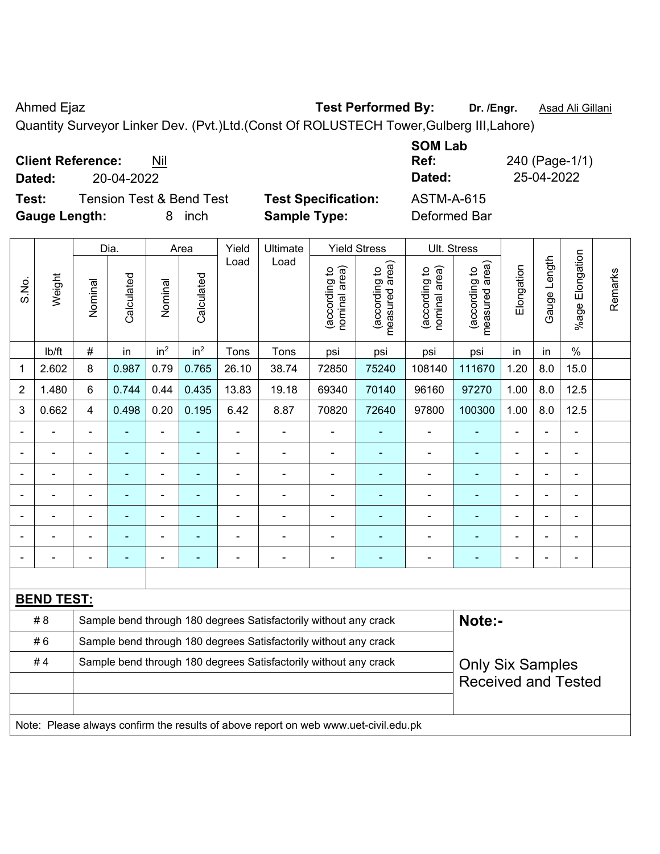$\top$ 

Ahmed Ejaz **Test Performed By:** Dr. /Engr. **Asad Ali Gillani** Collection 2014

Quantity Surveyor Linker Dev. (Pvt.)Ltd.(Const Of ROLUSTECH Tower,Gulberg III,Lahore)

**Client Reference:** Nil

**Dated:** 20-04-2022 **Dated:** 25-04-2022

 $\top$ 

**Test:** Tension Test & Bend Test **Test Specification:** ASTM-A-615 **Gauge Length:** 8 inch **Sample Type:** Deformed Bar

 $\overline{\mathbf{r}}$ 

**SOM Lab Ref:** 240 (Page-1/1)

|                |                   |                                                                  | Dia.       |                 | Area            | Yield | Ultimate                                                         |                                | <b>Yield Stress</b>                         |                                | Ult. Stress                        |                          |                |                       |         |
|----------------|-------------------|------------------------------------------------------------------|------------|-----------------|-----------------|-------|------------------------------------------------------------------|--------------------------------|---------------------------------------------|--------------------------------|------------------------------------|--------------------------|----------------|-----------------------|---------|
| S.No.          | Weight            | Nominal                                                          | Calculated | Nominal         | Calculated      | Load  | Load                                                             | (according to<br>nominal area) | (according to<br>measured area)<br>measured | (according to<br>nominal area) | area)<br>(according to<br>measured | Elongation               | Gauge Length   | Elongation<br>$%$ age | Remarks |
|                | lb/ft             | $\#$                                                             | in         | in <sup>2</sup> | in <sup>2</sup> | Tons  | Tons                                                             | psi                            | psi                                         | psi                            | psi                                | in                       | in             | $\%$                  |         |
| 1              | 2.602             | 8                                                                | 0.987      | 0.79            | 0.765           | 26.10 | 38.74                                                            | 72850                          | 75240                                       | 108140                         | 111670                             | 1.20                     | 8.0            | 15.0                  |         |
| $\overline{2}$ | 1.480             | 6                                                                | 0.744      | 0.44            | 0.435           | 13.83 | 19.18                                                            | 69340                          | 70140                                       | 96160                          | 97270                              | 1.00                     | 8.0            | 12.5                  |         |
| 3              | 0.662             | $\overline{4}$                                                   | 0.498      | 0.20            | 0.195           | 6.42  | 8.87                                                             | 70820                          | 72640                                       | 97800                          | 100300                             | 1.00                     | 8.0            | 12.5                  |         |
|                |                   |                                                                  |            |                 |                 |       |                                                                  |                                |                                             |                                |                                    | $\blacksquare$           |                |                       |         |
|                |                   |                                                                  |            |                 |                 |       |                                                                  |                                |                                             |                                |                                    | $\blacksquare$           |                |                       |         |
|                |                   |                                                                  | ۰          |                 |                 |       |                                                                  |                                |                                             |                                |                                    | $\blacksquare$           | $\blacksquare$ | ۰                     |         |
|                |                   |                                                                  |            |                 |                 |       |                                                                  |                                |                                             |                                |                                    | $\overline{\phantom{0}}$ | $\blacksquare$ |                       |         |
|                |                   |                                                                  |            |                 |                 |       |                                                                  |                                |                                             |                                |                                    |                          |                |                       |         |
|                |                   |                                                                  |            |                 |                 |       |                                                                  |                                |                                             |                                |                                    |                          |                |                       |         |
|                |                   |                                                                  |            |                 |                 |       |                                                                  |                                |                                             |                                |                                    |                          |                |                       |         |
|                |                   |                                                                  |            |                 |                 |       |                                                                  |                                |                                             |                                |                                    |                          |                |                       |         |
|                | <u>BEND TEST:</u> |                                                                  |            |                 |                 |       |                                                                  |                                |                                             |                                |                                    |                          |                |                       |         |
|                | # 8               |                                                                  |            |                 |                 |       | Sample bend through 180 degrees Satisfactorily without any crack |                                |                                             |                                | Note:-                             |                          |                |                       |         |
|                | #6                | Sample bend through 180 degrees Satisfactorily without any crack |            |                 |                 |       |                                                                  |                                |                                             |                                |                                    |                          |                |                       |         |
|                | #4                |                                                                  |            |                 |                 |       | Sample bend through 180 degrees Satisfactorily without any crack |                                |                                             |                                | Only Six Samples                   |                          |                |                       |         |

Only Six Samples Received and Tested

Note: Please always confirm the results of above report on web www.uet-civil.edu.pk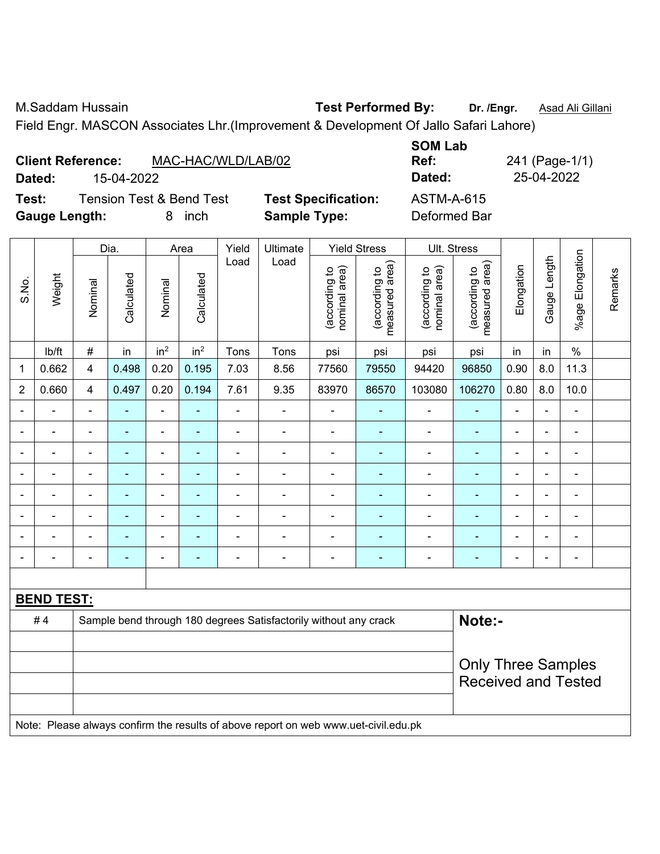M.Saddam Hussain **Test Performed By: Dr. /Engr.** Asad Ali Gillani Field Engr. MASCON Associates Lhr.(Improvement & Development Of Jallo Safari Lahore)

| <b>Client Reference:</b><br>Dated:<br>15-04-2022<br><b>Tension Test &amp; Bend Test</b><br>Test:<br>Gauge Length: |                   |  |   | 8 | inch | MAC-HAC/WLD/LAB/02 | <b>Test Specification:</b><br><b>Sample Type:</b> |          |                     | <b>SOM Lab</b><br>Ref:<br>Dated:<br><b>ASTM-A-615</b><br>Deformed Bar |             |     | 25-04-2022 | 241 (Page-1/1) |    |
|-------------------------------------------------------------------------------------------------------------------|-------------------|--|---|---|------|--------------------|---------------------------------------------------|----------|---------------------|-----------------------------------------------------------------------|-------------|-----|------------|----------------|----|
|                                                                                                                   | Dia.<br>Area      |  |   |   |      | Yield              | Ultimate                                          |          | <b>Yield Stress</b> |                                                                       | Ult. Stress |     |            |                |    |
|                                                                                                                   | $\overline{\tau}$ |  | ਾ |   | ਨੂ   | Load               | Load                                              | ea)<br>요 | rea)<br>요           | ea)<br>್                                                              | ea)<br>요    | ion | dipue      | gation         | δŽ |

|                |                   |                           | Dia.       |                                                                                                                                     | Area            | Yield | Ultimate                                                                            |                                | Yield Stress                    |                                | UII. Stress                     |                |                          |                 |         |
|----------------|-------------------|---------------------------|------------|-------------------------------------------------------------------------------------------------------------------------------------|-----------------|-------|-------------------------------------------------------------------------------------|--------------------------------|---------------------------------|--------------------------------|---------------------------------|----------------|--------------------------|-----------------|---------|
| S.No.          | Weight            | Nominal                   | Calculated | Nominal                                                                                                                             | Calculated      | Load  | Load                                                                                | nominal area)<br>(according to | (according to<br>measured area) | nominal area)<br>(according to | measured area)<br>(according to | Elongation     | Gauge Length             | %age Elongation | Remarks |
|                | lb/ft             | $\#$                      | in         | in <sup>2</sup>                                                                                                                     | in <sup>2</sup> | Tons  | Tons                                                                                | psi                            | psi                             | psi                            | psi                             | in             | in                       | $\%$            |         |
| 1              | 0.662             | $\overline{4}$            | 0.498      | 0.20                                                                                                                                | 0.195           | 7.03  | 8.56                                                                                | 77560                          | 79550                           | 94420                          | 96850                           | 0.90           | 8.0                      | 11.3            |         |
| $\overline{2}$ | 0.660             | 4                         | 0.497      | 0.20                                                                                                                                | 0.194           | 7.61  | 9.35                                                                                | 83970                          | 86570                           | 103080                         | 106270                          | 0.80           | 8.0                      | 10.0            |         |
|                |                   |                           | ۰          | ä,                                                                                                                                  |                 | L,    |                                                                                     |                                | $\blacksquare$                  | $\blacksquare$                 | ÷                               | $\blacksquare$ | ä,                       |                 |         |
|                | $\blacksquare$    |                           |            | ä,                                                                                                                                  |                 | ÷     | $\blacksquare$                                                                      | $\blacksquare$                 | $\blacksquare$                  |                                | ä,                              |                |                          |                 |         |
| Ē,             | ÷                 | $\blacksquare$            | ÷          | ä,                                                                                                                                  | Ē.              | Ē,    | ÷                                                                                   | $\blacksquare$                 | ٠                               | $\blacksquare$                 | $\blacksquare$                  | $\blacksquare$ | $\blacksquare$           | $\blacksquare$  |         |
| $\blacksquare$ | $\blacksquare$    | $\blacksquare$            | ۰          | $\overline{\phantom{0}}$                                                                                                            | ٠               | ä,    | -                                                                                   | $\blacksquare$                 | ۰                               | $\blacksquare$                 | $\blacksquare$                  | $\blacksquare$ | $\overline{\phantom{a}}$ | $\blacksquare$  |         |
|                | ÷.                | $\overline{\phantom{0}}$  | ۰          | $\blacksquare$<br>L,<br>ä,<br>$\blacksquare$<br>$\blacksquare$<br>$\blacksquare$<br>$\blacksquare$<br>۰<br>÷<br>$\blacksquare$<br>٠ |                 |       |                                                                                     |                                |                                 |                                |                                 |                |                          |                 |         |
|                |                   |                           | Ē.         | $\blacksquare$                                                                                                                      |                 |       | ÷                                                                                   | $\blacksquare$                 | $\blacksquare$                  | $\blacksquare$                 | ÷                               | $\blacksquare$ |                          |                 |         |
|                |                   |                           |            | $\blacksquare$                                                                                                                      |                 |       | ÷                                                                                   |                                |                                 |                                |                                 |                |                          |                 |         |
| $\blacksquare$ | -                 | $\blacksquare$            | ۰          | ۰                                                                                                                                   | ۰               | ä,    | ÷                                                                                   | $\blacksquare$                 | $\blacksquare$                  | $\blacksquare$                 | ä,                              | $\blacksquare$ | $\overline{\phantom{a}}$ | $\blacksquare$  |         |
|                |                   |                           |            |                                                                                                                                     |                 |       |                                                                                     |                                |                                 |                                |                                 |                |                          |                 |         |
|                | <b>BEND TEST:</b> |                           |            |                                                                                                                                     |                 |       |                                                                                     |                                |                                 |                                |                                 |                |                          |                 |         |
|                | #4                |                           |            |                                                                                                                                     |                 |       | Sample bend through 180 degrees Satisfactorily without any crack                    |                                |                                 |                                | Note:-                          |                |                          |                 |         |
|                |                   |                           |            |                                                                                                                                     |                 |       |                                                                                     |                                |                                 |                                |                                 |                |                          |                 |         |
|                |                   | <b>Only Three Samples</b> |            |                                                                                                                                     |                 |       |                                                                                     |                                |                                 |                                |                                 |                |                          |                 |         |
|                |                   |                           |            |                                                                                                                                     |                 |       |                                                                                     |                                |                                 |                                | <b>Received and Tested</b>      |                |                          |                 |         |
|                |                   |                           |            |                                                                                                                                     |                 |       |                                                                                     |                                |                                 |                                |                                 |                |                          |                 |         |
|                |                   |                           |            |                                                                                                                                     |                 |       | Note: Please always confirm the results of above report on web www.uet-civil.edu.pk |                                |                                 |                                |                                 |                |                          |                 |         |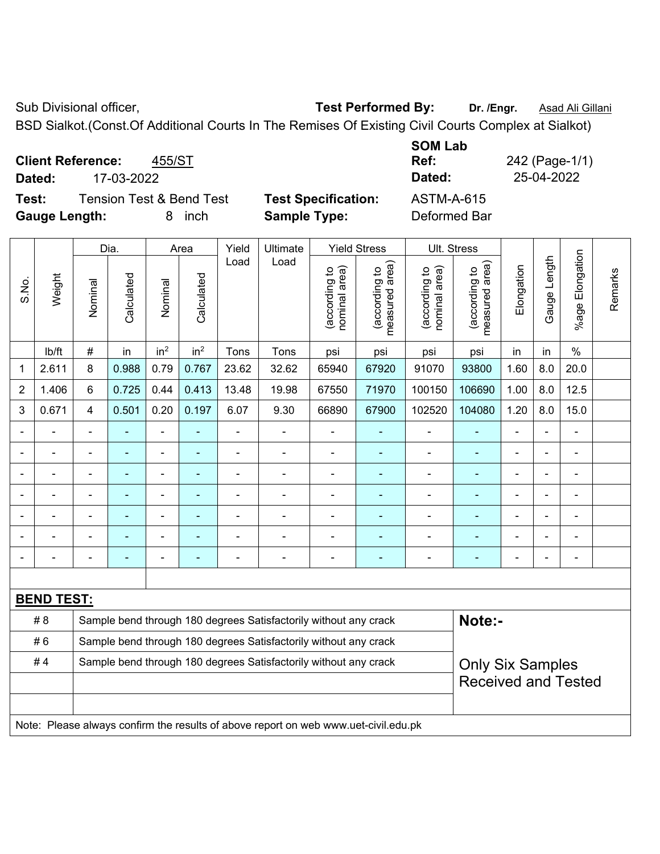Sub Divisional officer, **Test Performed By:** Dr. /Engr. **Asad Ali Gillani** Collection Association Association Association Association Association Association Association Association Association Association Association Asso

BSD Sialkot.(Const.Of Additional Courts In The Remises Of Existing Civil Courts Complex at Sialkot)

**Client Reference:** 455/ST **Dated:** 17-03-2022 **Dated:** 25-04-2022

**Test:** Tension Test & Bend Test **Test Specification:** ASTM-A-615 **Gauge Length:** 8 inch **Sample Type:** Deformed Bar

**SOM Lab Ref:** 242 (Page-1/1)

|                |                   |                | Dia.           |                 | Area            | Yield | Ultimate                                                                            |                                | <b>Yield Stress</b>             | Ult. Stress                    |                                 |                |              |                       |         |
|----------------|-------------------|----------------|----------------|-----------------|-----------------|-------|-------------------------------------------------------------------------------------|--------------------------------|---------------------------------|--------------------------------|---------------------------------|----------------|--------------|-----------------------|---------|
| S.No.          | Weight            | Nominal        | Calculated     | Nominal         | Calculated      | Load  | Load                                                                                | (according to<br>nominal area) | (according to<br>measured area) | nominal area)<br>(according to | (according to<br>measured area) | Elongation     | Gauge Length | Elongation<br>$%$ age | Remarks |
|                | lb/ft             | $\#$           | in             | in <sup>2</sup> | in <sup>2</sup> | Tons  | Tons                                                                                | psi                            | psi                             | psi                            | psi                             | in             | in           | $\%$                  |         |
| $\mathbf 1$    | 2.611             | 8              | 0.988          | 0.79            | 0.767           | 23.62 | 32.62                                                                               | 65940                          | 67920                           | 91070                          | 93800                           | 1.60           | 8.0          | 20.0                  |         |
| $\overline{2}$ | 1.406             | 6              | 0.725          | 0.44            | 0.413           | 13.48 | 19.98                                                                               | 67550                          | 71970                           | 100150                         | 106690                          | 1.00           | 8.0          | 12.5                  |         |
| 3              | 0.671             | $\overline{4}$ | 0.501          | 0.20            | 0.197           | 6.07  | 9.30                                                                                | 66890                          | 67900                           | 102520                         | 104080                          | 1.20           | 8.0          | 15.0                  |         |
| $\blacksquare$ |                   | $\blacksquare$ | ä,             | ÷,              |                 | L,    | ÷,                                                                                  | L,                             | $\blacksquare$                  | $\blacksquare$                 | $\blacksquare$                  | $\blacksquare$ |              | $\blacksquare$        |         |
| $\blacksquare$ | $\blacksquare$    | $\blacksquare$ | ä,             | $\blacksquare$  | $\blacksquare$  | ä,    | $\blacksquare$                                                                      | ä,                             | $\blacksquare$                  | $\blacksquare$                 | $\blacksquare$                  | $\blacksquare$ |              | $\blacksquare$        |         |
|                |                   | $\blacksquare$ | ä,             | ÷,              | ×,              | L,    | ÷,                                                                                  | L,                             | ÷                               | $\blacksquare$                 | ÷                               | $\blacksquare$ |              | ÷,                    |         |
|                |                   |                | ۰              | $\blacksquare$  |                 |       | $\blacksquare$                                                                      | ÷                              | ۰                               | $\blacksquare$                 | $\overline{a}$                  | $\blacksquare$ |              | ÷                     |         |
|                |                   |                |                |                 |                 | L,    | $\blacksquare$                                                                      | ä,                             |                                 |                                |                                 |                |              | ÷                     |         |
|                |                   |                | $\blacksquare$ | $\blacksquare$  |                 |       | $\blacksquare$                                                                      | ä,                             | ۰                               | ä,                             |                                 |                |              | ۰                     |         |
| $\blacksquare$ |                   |                | ۰              | $\blacksquare$  | $\blacksquare$  |       | $\blacksquare$                                                                      | ä,                             | ٠                               | $\blacksquare$                 | ٠                               | $\blacksquare$ |              | $\blacksquare$        |         |
|                |                   |                |                |                 |                 |       |                                                                                     |                                |                                 |                                |                                 |                |              |                       |         |
|                | <b>BEND TEST:</b> |                |                |                 |                 |       |                                                                                     |                                |                                 |                                |                                 |                |              |                       |         |
|                | # 8               |                |                |                 |                 |       | Sample bend through 180 degrees Satisfactorily without any crack                    |                                |                                 |                                | Note:-                          |                |              |                       |         |
|                | #6                |                |                |                 |                 |       | Sample bend through 180 degrees Satisfactorily without any crack                    |                                |                                 |                                |                                 |                |              |                       |         |
|                | #4                |                |                |                 |                 |       | Sample bend through 180 degrees Satisfactorily without any crack                    |                                |                                 |                                | <b>Only Six Samples</b>         |                |              |                       |         |
|                |                   |                |                |                 |                 |       |                                                                                     |                                |                                 |                                | <b>Received and Tested</b>      |                |              |                       |         |
|                |                   |                |                |                 |                 |       |                                                                                     |                                |                                 |                                |                                 |                |              |                       |         |
|                |                   |                |                |                 |                 |       | Note: Please always confirm the results of above report on web www.uet-civil.edu.pk |                                |                                 |                                |                                 |                |              |                       |         |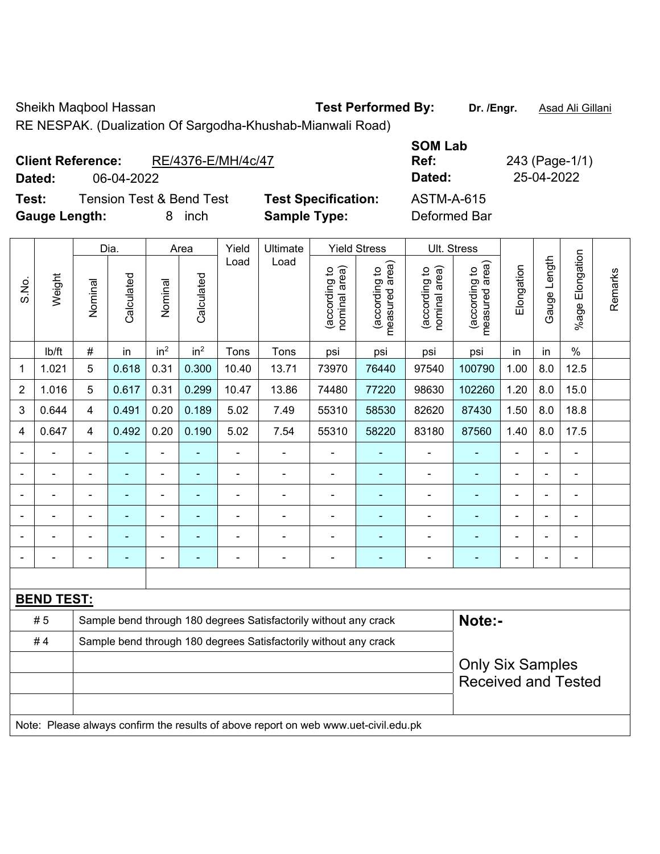Sheikh Maqbool Hassan **Test Performed By:** Dr. /Engr. **Asad Ali Gillani** 

RE NESPAK. (Dualization Of Sargodha-Khushab-Mianwali Road)

| <b>Client Reference:</b> |            | RE/4376-E/MH/4c/47                  |                            | <b>SOM Lab</b><br>Ref: | 243 (Page-1/1) |
|--------------------------|------------|-------------------------------------|----------------------------|------------------------|----------------|
| Dated:                   | 06-04-2022 |                                     |                            | Dated:                 | 25-04-2022     |
| Test:                    |            | <b>Tension Test &amp; Bend Test</b> | <b>Test Specification:</b> | <b>ASTM-A-615</b>      |                |
| <b>Gauge Length:</b>     |            | inch<br>8                           | <b>Sample Type:</b>        | Deformed Bar           |                |

|                |                                                                                     |                |                | Dia.                     |                 | Area                                                             | Yield                                                            | Ultimate                       |                                 | <b>Yield Stress</b>            |                                                       | Ult. Stress    |                |                       |         |  |
|----------------|-------------------------------------------------------------------------------------|----------------|----------------|--------------------------|-----------------|------------------------------------------------------------------|------------------------------------------------------------------|--------------------------------|---------------------------------|--------------------------------|-------------------------------------------------------|----------------|----------------|-----------------------|---------|--|
| S.No.          | Weight                                                                              | Nominal        | Calculated     | Nominal                  | Calculated      | Load                                                             | Load                                                             | nominal area)<br>(according to | (according to<br>measured area) | nominal area)<br>(according to | (according to<br>neasured area)<br>measured           | Elongation     | Gauge Length   | Elongation<br>$%$ age | Remarks |  |
|                | lb/ft                                                                               | $\#$           | in             | in <sup>2</sup>          | in <sup>2</sup> | Tons                                                             | Tons                                                             | psi                            | psi                             | psi                            | psi                                                   | in             | in             | $\%$                  |         |  |
| 1              | 1.021                                                                               | 5              | 0.618          | 0.31                     | 0.300           | 10.40                                                            | 13.71                                                            | 73970                          | 76440                           | 97540                          | 100790                                                | 1.00           | 8.0            | 12.5                  |         |  |
| $\overline{2}$ | 1.016                                                                               | 5              | 0.617          | 0.31                     | 0.299           | 10.47                                                            | 13.86                                                            | 74480                          | 77220                           | 98630                          | 102260                                                | 1.20           | 8.0            | 15.0                  |         |  |
| 3              | 0.644                                                                               | 4              | 0.491          | 0.20                     | 0.189           | 5.02                                                             | 7.49                                                             | 55310                          | 58530                           | 82620                          | 87430                                                 | 1.50           | 8.0            | 18.8                  |         |  |
| 4              | 0.647                                                                               | 4              | 0.492          | 0.20                     | 0.190           | 5.02                                                             | 7.54                                                             | 55310                          | 58220                           | 83180                          | 87560                                                 | 1.40           | 8.0            | 17.5                  |         |  |
|                | $\blacksquare$                                                                      | ä,             | $\blacksquare$ | $\overline{a}$           | ٠               | $\blacksquare$                                                   | $\blacksquare$                                                   | $\blacksquare$                 | $\blacksquare$                  | ä,                             | $\blacksquare$                                        | $\blacksquare$ | $\blacksquare$ | $\blacksquare$        |         |  |
|                | $\blacksquare$                                                                      |                | ÷              | $\blacksquare$           |                 | ä,                                                               | $\blacksquare$                                                   | $\blacksquare$                 |                                 | $\blacksquare$                 | $\blacksquare$                                        | $\blacksquare$ |                | $\blacksquare$        |         |  |
|                |                                                                                     |                |                | $\blacksquare$           | $\blacksquare$  | $\blacksquare$                                                   | $\blacksquare$                                                   | $\blacksquare$                 | $\blacksquare$                  | $\blacksquare$                 | $\blacksquare$                                        | $\blacksquare$ |                | $\blacksquare$        |         |  |
|                |                                                                                     |                |                |                          |                 |                                                                  | $\blacksquare$                                                   | Ē,                             |                                 |                                |                                                       |                |                |                       |         |  |
| $\blacksquare$ | $\blacksquare$                                                                      | $\blacksquare$ |                | ٠                        | ٠               |                                                                  | $\blacksquare$                                                   | $\overline{\phantom{0}}$       | $\overline{\phantom{0}}$        | $\blacksquare$                 | ٠                                                     | $\blacksquare$ |                | $\blacksquare$        |         |  |
| $\blacksquare$ |                                                                                     | L,             | $\blacksquare$ | $\overline{\phantom{a}}$ |                 | Ē,                                                               | $\overline{\phantom{a}}$                                         | $\blacksquare$                 | $\blacksquare$                  | $\blacksquare$                 | $\blacksquare$                                        | ÷              |                | $\blacksquare$        |         |  |
|                |                                                                                     |                |                |                          |                 |                                                                  |                                                                  |                                |                                 |                                |                                                       |                |                |                       |         |  |
|                | <b>BEND TEST:</b>                                                                   |                |                |                          |                 |                                                                  |                                                                  |                                |                                 |                                |                                                       |                |                |                       |         |  |
|                | # 5                                                                                 |                |                |                          |                 |                                                                  | Sample bend through 180 degrees Satisfactorily without any crack |                                |                                 |                                |                                                       | Note:-         |                |                       |         |  |
| #4             |                                                                                     |                |                |                          |                 | Sample bend through 180 degrees Satisfactorily without any crack |                                                                  |                                |                                 |                                |                                                       |                |                |                       |         |  |
|                |                                                                                     |                |                |                          |                 |                                                                  |                                                                  |                                |                                 |                                | <b>Only Six Samples</b><br><b>Received and Tested</b> |                |                |                       |         |  |
|                | Note: Please always confirm the results of above report on web www.uet-civil.edu.pk |                |                |                          |                 |                                                                  |                                                                  |                                |                                 |                                |                                                       |                |                |                       |         |  |